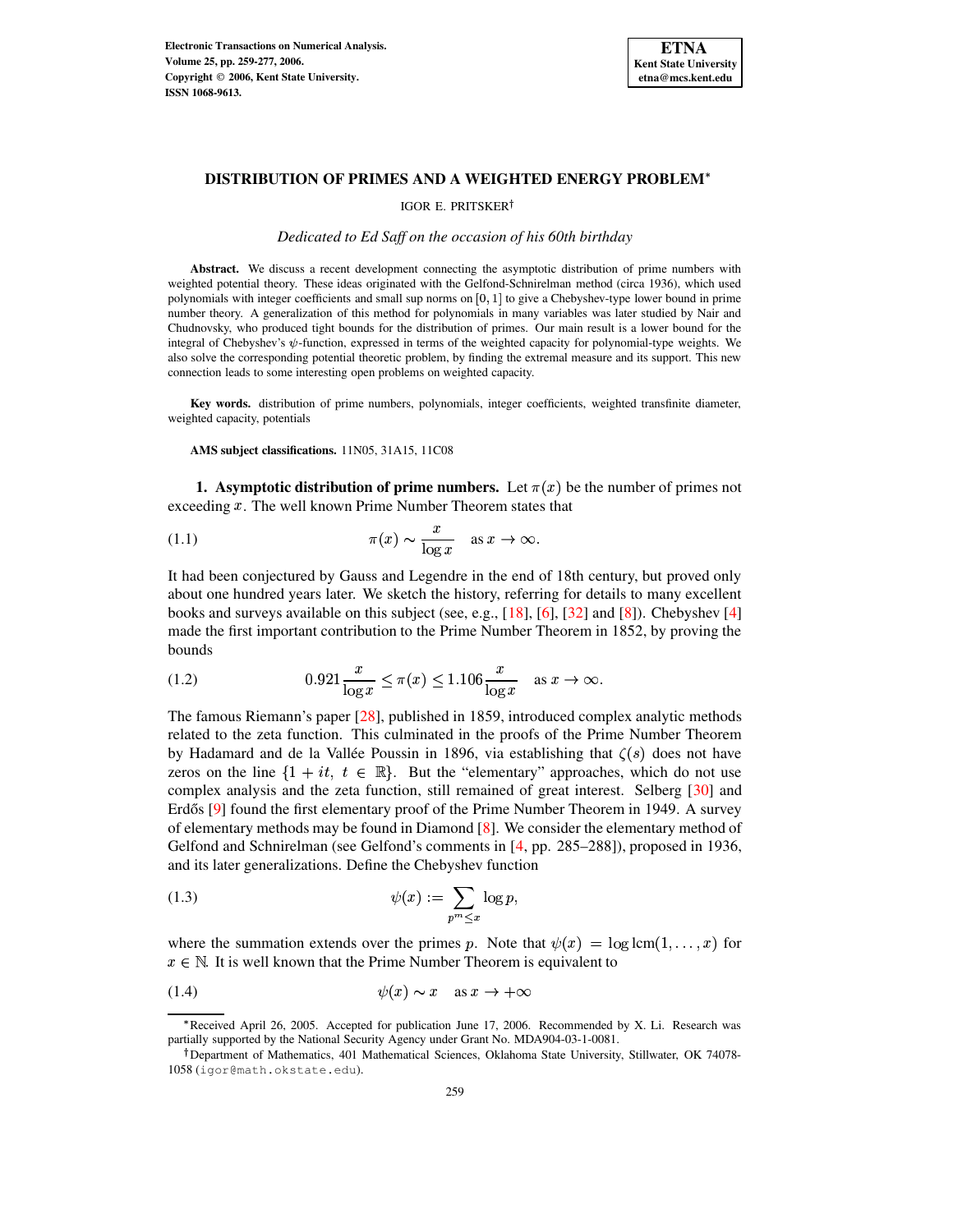

# IGOR E. PRITSKER

## *Dedicated to Ed Saff on the occasion of his 60th birthday*

Abstract. We discuss a recent development connecting the asymptotic distribution of prime numbers with weighted potential theory. These ideas originated with the Gelfond-Schnirelman method (circa 1936), which used polynomials with integer coefficients and small sup norms on  $[0, 1]$  to give a Chebyshev-type lower bound in prime number theory. A generalization of this method for polynomials in many variables was later studied by Nair and Chudnovsky, who produced tight bounds for the distribution of primes. Our main result is a lower bound for the integral of Chebyshev's  $\psi$ -function, expressed in terms of the weighted capacity for polynomial-type weights. We also solve the corresponding potential theoretic problem, by finding the extremal measure and its support. This new connection leads to some interesting open problems on weighted capacity.

**Key words.** distribution of prime numbers, polynomials, integer coefficients, weighted transfinite diameter, weighted capacity, potentials

**AMS subject classifications.** 11N05, 31A15, 11C08

<span id="page-0-0"></span>**1. Asymptotic distribution of prime numbers.** Let  $\pi(x)$  be the number of primes not exceeding  $x$ . The well known Prime Number Theorem states that

(1.1) 
$$
\pi(x) \sim \frac{x}{\log x} \quad \text{as } x \to \infty.
$$

It had been conjectured by Gauss and Legendre in the end of 18th century, but proved only about one hundred years later. We sketch the history, referring for details to many excellent books and surveys available on this subject (see, e.g., [\[18\]](#page-17-0), [\[6\]](#page-17-1), [\[32\]](#page-17-2) and [\[8\]](#page-17-3)). Chebyshev [\[4\]](#page-17-4) made the first important contribution to the Prime Number Theorem in 1852, by proving the bounds

(1.2) 
$$
0.921 \frac{x}{\log x} \le \pi(x) \le 1.106 \frac{x}{\log x} \text{ as } x \to \infty.
$$

The famous Riemann's paper [\[28\]](#page-17-5), published in 1859, introduced complex analytic methods related to the zeta function. This culminated in the proofs of the Prime Number Theorem by Hadamard and de la Vallée Poussin in 1896, via establishing that  $\zeta(s)$  does not have zeros on the line  $\{1+it, t \in \mathbb{R}\}$ . But the "elementary" approaches, which do not use complex analysis and the zeta function, still remained of great interest. Selberg [\[30\]](#page-17-6) and Erdős  $[9]$  found the first elementary proof of the Prime Number Theorem in 1949. A survey of elementary methods may be found in Diamond [\[8\]](#page-17-3). We consider the elementary method of Gelfond and Schnirelman (see Gelfond's comments in [\[4,](#page-17-4) pp. 285–288]), proposed in 1936, and its later generalizations. Define the Chebyshev function

(1.3) 
$$
\psi(x) := \sum_{p^m \leq x} \log p,
$$

where the summation extends over the primes p. Note that  $\psi(x) = \log \text{lcm}(1, \ldots, x)$  for  $x \in \mathbb{N}$ . It is well known that the Prime Number Theorem is equivalent to

$$
(1.4) \t\t\t \psi(x) \sim x \quad \text{as } x \to +\infty
$$

<sup>\*</sup> Received April 26, 2005. Accepted for publication June 17, 2006. Recommended by X. Li. Research was partially supported by the National Security Agency under Grant No. MDA904-03-1-0081.

<sup>&</sup>lt;sup>†</sup>Department of Mathematics, 401 Mathematical Sciences, Oklahoma State University, Stillwater, OK 74078-1058 (igor@math.okstate.edu).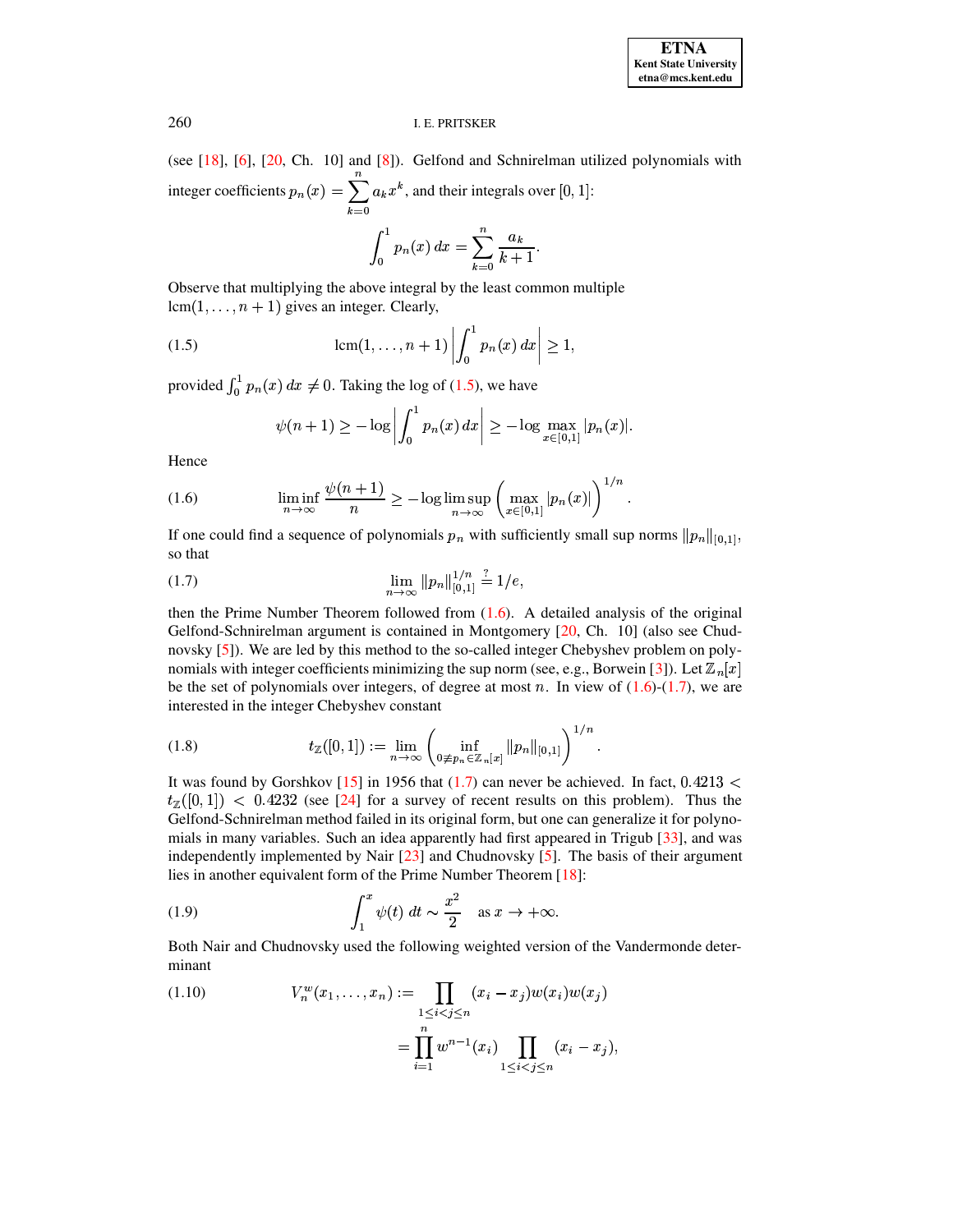(see [\[18\]](#page-17-0), [\[6\]](#page-17-1), [\[20,](#page-17-8) Ch. 10] and [\[8\]](#page-17-3)). Gelfond and Schnirelman utilized polynomials with integer coefficients  $p_n(x) = \sum a_k x^k$ , and their integrals over [0, 1]:

<span id="page-1-0"></span>
$$
\int_0^1 p_n(x) \, dx = \sum_{k=0}^n \frac{a_k}{k+1}.
$$

Observe that multiplying the above integral by the least common multiple  $lcm(1, \ldots, n + 1)$  gives an integer. Clearly,

(1.5) 
$$
\operatorname{lcm}(1, ..., n+1) \left| \int_0^1 p_n(x) \, dx \right| \ge 1,
$$

provided  $\int_0^1 p_n(x) dx \neq 0$ . Taking the log of [\(1.5\)](#page-1-0), we have

$$
\psi(n+1) \geq -\log \left| \int_0^1 p_n(x) \, dx \right| \geq -\log \max_{x \in [0,1]} |p_n(x)|.
$$

<span id="page-1-1"></span>Hence

(1.6) 
$$
\liminf_{n \to \infty} \frac{\psi(n+1)}{n} \geq -\log \limsup_{n \to \infty} \left( \max_{x \in [0,1]} |p_n(x)| \right)^{1/n}.
$$

<span id="page-1-2"></span>If one could find a sequence of polynomials  $p_n$  with sufficiently small sup norms  $||p_n||_{[0,1]}$ , so that

(1.7) 
$$
\lim_{n \to \infty} ||p_n||_{[0,1]}^{1/n} \stackrel{?}{=} 1/e,
$$

then the Prime Number Theorem followed from [\(1.6\)](#page-1-1). A detailed analysis of the original Gelfond-Schnirelman argument is contained in Montgomery [\[20,](#page-17-8) Ch. 10] (also see Chudnovsky [\[5\]](#page-17-9)). We are led by this method to the so-called integer Chebyshev problem on poly-nomials with integer coefficients minimizing the sup norm (see, e.g., Borwein [\[3\]](#page-17-10)). Let  $\mathbb{Z}_n[x]$ be the set of polynomials over integers, of degree at most n. In view of  $(1.6)-(1.7)$  $(1.6)-(1.7)$  $(1.6)-(1.7)$ , we are interested in the integer Chebyshev constant

(1.8) 
$$
t_{\mathbb{Z}}([0,1]) := \lim_{n \to \infty} \left( \inf_{0 \neq p_n \in \mathbb{Z}_n[x]} \|p_n\|_{[0,1]} \right)^{1/n}.
$$

It was found by Gorshkov [\[15\]](#page-17-11) in 1956 that  $(1.7)$  can never be achieved. In fact, 0.4213 <  $t_{\mathbb{Z}}([0,1]) < 0.4232$  (see [\[24\]](#page-17-12) for a survey of recent results on this problem). Thus the Gelfond-Schnirelman method failed in its original form, but one can generalize it for polynomials in many variables. Such an idea apparently had first appeared in Trigub [\[33\]](#page-18-0), and was independently implemented by Nair  $[23]$  and Chudnovsky  $[5]$ . The basis of their argument lies in another equivalent form of the Prime Number Theorem [\[18\]](#page-17-0):

<span id="page-1-4"></span>(1.9) 
$$
\int_1^x \psi(t) dt \sim \frac{x^2}{2} \text{ as } x \to +\infty.
$$

Both Nair and Chudnovsky used the following weighted version of the Vandermonde determinant  $\overline{2}$ 

<span id="page-1-3"></span>(1.10) 
$$
V_n^w(x_1,...,x_n) := \prod_{1 \le i < j \le n} (x_i - x_j) w(x_i) w(x_j)
$$

$$
= \prod_{i=1}^n w^{n-1}(x_i) \prod_{1 \le i < j \le n} (x_i - x_j),
$$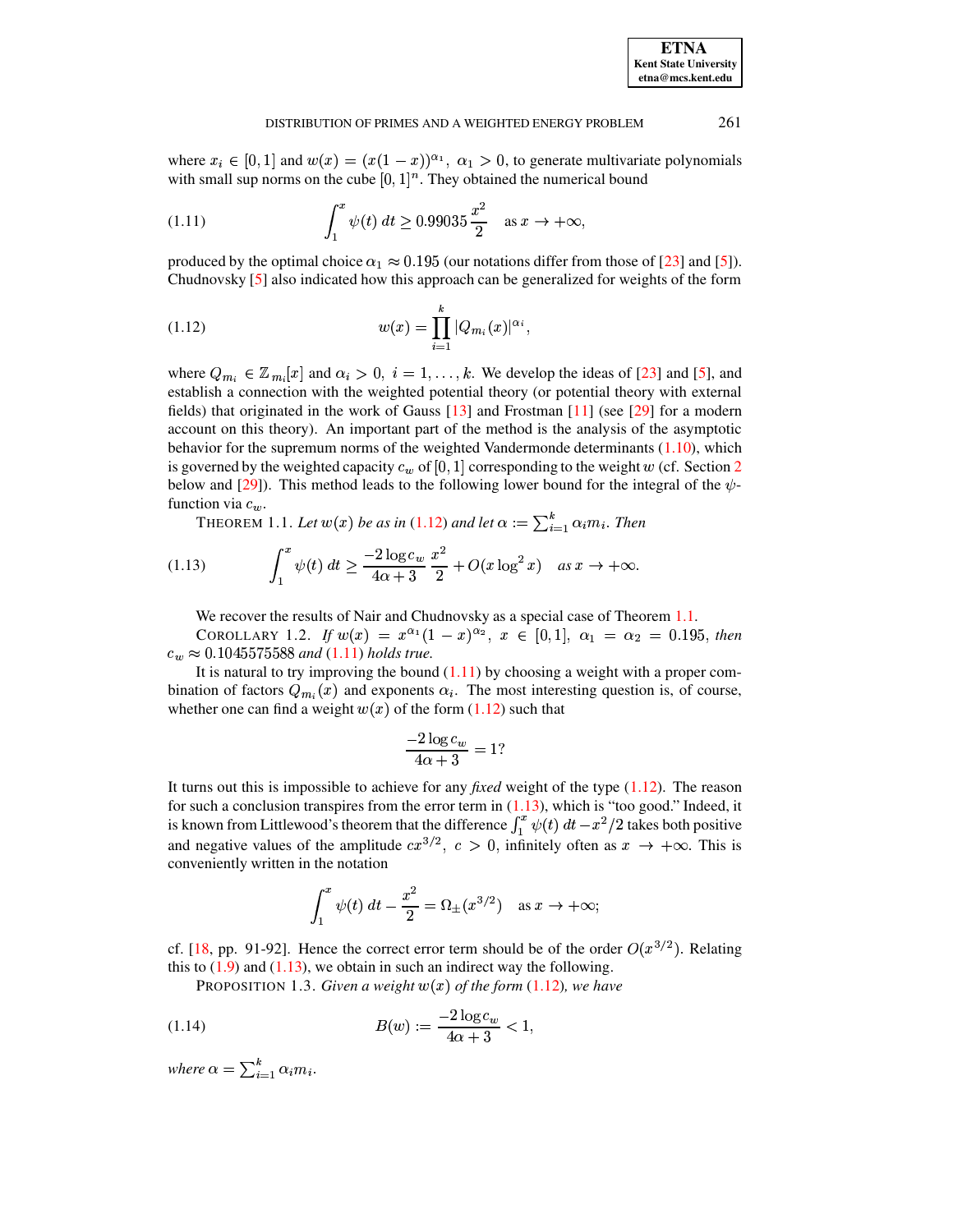where  $x_i \in [0,1]$  and  $w(x) = (x(1-x))^{\alpha_1}$ ,  $\alpha_1 > 0$ , to generate multivariate polynomials with small sup norms on the cube  $[0, 1]^n$ . They obtained the numerical bound

(1.11) 
$$
\int_{1}^{x} \psi(t) dt \ge 0.99035 \frac{x^2}{2} \text{ as } x \to +\infty,
$$

produced by the optimal choice  $\alpha_1 \approx 0.195$  (our notations differ from those of [\[23\]](#page-17-13) and [\[5\]](#page-17-9)). Chudnovsky [\[5\]](#page-17-9) also indicated how this approach can be generalized for weights of the form

<span id="page-2-3"></span><span id="page-2-2"></span><span id="page-2-0"></span> $\blacksquare$ 

(1.12) 
$$
w(x) = \prod_{i=1}^{k} |Q_{m_i}(x)|^{\alpha_i},
$$

where  $Q_{m_i} \in \mathbb{Z}_{m_i}[x]$  and  $\alpha_i > 0$ ,  $i = 1, \ldots, k$ . We develop the ideas of [\[23\]](#page-17-13) and [\[5\]](#page-17-9), and establish a connection with the weighted potential theory (or potential theory with external fields) that originated in the work of Gauss  $[13]$  and Frostman  $[11]$  (see  $[29]$  for a modern account on this theory). An important part of the method is the analysis of the asymptotic behavior for the supremum norms of the weighted Vandermonde determinants [\(1.10\)](#page-1-3), which is governed by the weighted capacity  $c_w$  of [0, 1] corresponding to the weight w (cf. Section [2](#page-3-0) below and [\[29\]](#page-17-16)). This method leads to the following lower bound for the integral of the  $\psi$ function via  $c_w$ .

THEOREM 1.1. Let  $w(x)$  be as in [\(1.12\)](#page-2-0) and let  $\alpha := \sum_{i=1}^{k} \alpha_i m_i$ . Then  $\sum_{i=1}^{\kappa} \alpha_i m_i$  . Then

<span id="page-2-1"></span>(1.13) 
$$
\int_1^x \psi(t) dt \ge \frac{-2 \log c_w}{4\alpha + 3} \frac{x^2}{2} + O(x \log^2 x) \quad \text{as } x \to +\infty.
$$

We recover the results of Nair and Chudnovsky as a special case of Theorem [1.1.](#page-2-1)

<span id="page-2-5"></span>COROLLARY 1.2. *If*  $w(x) = x^{\alpha_1}(1-x)^{\alpha_2}, x \in [0,1], \alpha_1 = \alpha_2 = 0.195$ , then  $c_w \approx 0.1045575588$  and [\(1.11\)](#page-2-2) holds true.

<sup>t</sup> It is natural to try improving the bound [\(1.11\)](#page-2-2) by choosing a weight with a proper combination of factors  $Q_{m_i}(x)$  and exponents  $\alpha_i$ . The most interesting question is, of course, whether one can find a weight  $w(x)$  of the form [\(1.12\)](#page-2-0) such that

$$
\frac{-2\log c_w}{4\alpha + 3} = 1?
$$

It turns out this is impossible to achieve for any *fixed* weight of the type [\(1.12\)](#page-2-0). The reason for such a conclusion transpires from the error term in  $(1.13)$ , which is "too good." Indeed, it is known from Littlewood's theorem that the difference  $\int_1^x \psi(t) dt - x$  $b_1^x \psi(t) dt - x^2/2$  takes both positive and negative values of the amplitude  $cx^{3/2}$ ,  $c > 0$ , infinitely often as  $x \to +\infty$ . This is conveniently written in the notation

<span id="page-2-4"></span>
$$
\int_1^x \psi(t) \, dt - \frac{x^2}{2} = \Omega_{\pm}(x^{3/2}) \quad \text{as } x \to +\infty;
$$

cf. [\[18,](#page-17-0) pp. 91-92]. Hence the correct error term should be of the order  $O(x^{3/2})$ . Relating this to  $(1.9)$  and  $(1.13)$ , we obtain in such an indirect way the following.

**PROPOSITION 1.3. Given a weight**  $w(x)$  **of the form [\(1.12\)](#page-2-0), we have** 

(1.14) 
$$
B(w) := \frac{-2\log c_w}{4\alpha + 3} < 1,
$$

where  $\alpha = \sum_{i=1}^{k} \alpha_i m_i$ .  $\mathcal{L}=1$  . Exterior of  $\mathcal{L}=1$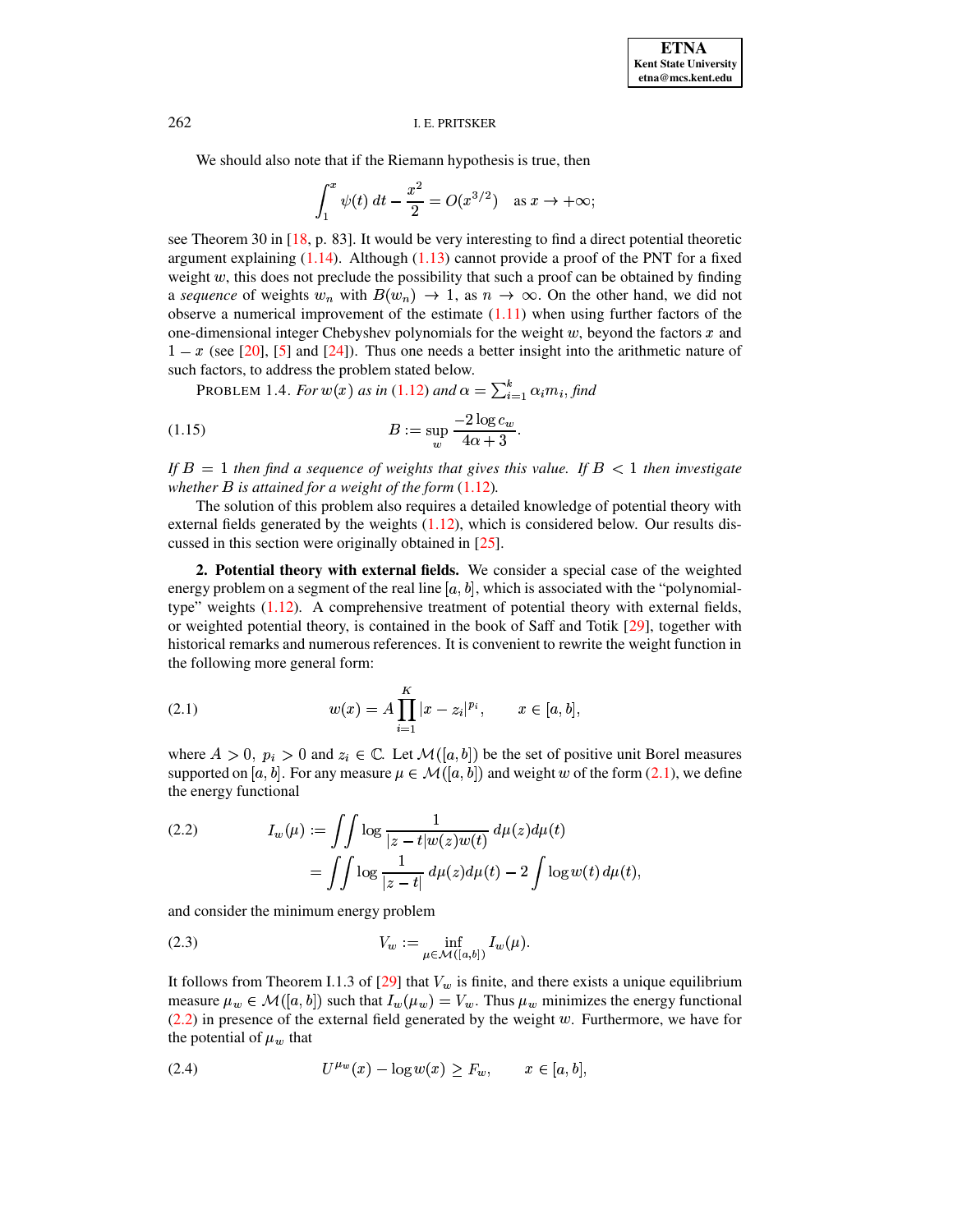We should also note that if the Riemann hypothesis is true, then

$$
\int_1^x \psi(t) \, dt - \frac{x^2}{2} = O(x^{3/2}) \quad \text{as } x \to +\infty;
$$

see Theorem 30 in  $[18, p. 83]$ . It would be very interesting to find a direct potential theoretic argument explaining  $(1.14)$ . Although  $(1.13)$  cannot provide a proof of the PNT for a fixed weight  $w$ , this does not preclude the possibility that such a proof can be obtained by finding a sequence of weights  $w_n$  with  $B(w_n) \to 1$ , as  $n \to \infty$ . On the other hand, we did not observe a numerical improvement of the estimate  $(1.11)$  when using further factors of the one-dimensional integer Chebyshev polynomials for the weight  $w$ , beyond the factors  $x$  and  $1 - x$  (see [20], [5] and [24]). Thus one needs a better insight into the arithmetic nature of such factors, to address the problem stated below.

**PROBLEM** 1.4. For  $w(x)$  as in (1.12) and  $\alpha = \sum_{i=1}^{k} \alpha_i m_i$ , find

$$
(1.15)\qquad \qquad B := \sup_{w} \frac{-2\log c_w}{4\alpha + 3}.
$$

If  $B = 1$  then find a sequence of weights that gives this value. If  $B < 1$  then investigate whether  $B$  is attained for a weight of the form  $(1.12)$ .

The solution of this problem also requires a detailed knowledge of potential theory with external fields generated by the weights  $(1.12)$ , which is considered below. Our results discussed in this section were originally obtained in  $[25]$ .

<span id="page-3-0"></span>2. Potential theory with external fields. We consider a special case of the weighted energy problem on a segment of the real line [a, b], which is associated with the "polynomialtype" weights  $(1.12)$ . A comprehensive treatment of potential theory with external fields, or weighted potential theory, is contained in the book of Saff and Totik  $[29]$ , together with historical remarks and numerous references. It is convenient to rewrite the weight function in the following more general form:

<span id="page-3-1"></span>(2.1) 
$$
w(x) = A \prod_{i=1}^{K} |x - z_i|^{p_i}, \qquad x \in [a, b],
$$

where  $A > 0$ ,  $p_i > 0$  and  $z_i \in \mathbb{C}$ . Let  $\mathcal{M}([a, b])$  be the set of positive unit Borel measures supported on [a, b]. For any measure  $\mu \in \mathcal{M}([a, b])$  and weight w of the form (2.1), we define the energy functional

<span id="page-3-2"></span>(2.2) 
$$
I_w(\mu) := \int \int \log \frac{1}{|z - t| w(z) w(t)} d\mu(z) d\mu(t)
$$

$$
= \int \int \log \frac{1}{|z - t|} d\mu(z) d\mu(t) - 2 \int \log w(t) d\mu(t)
$$

<span id="page-3-4"></span>and consider the minimum energy problem

(2.3) 
$$
V_w := \inf_{\mu \in \mathcal{M}([a,b])} I_w(\mu).
$$

It follows from Theorem I.1.3 of  $[29]$  that  $V_w$  is finite, and there exists a unique equilibrium measure  $\mu_w \in \mathcal{M}([a, b])$  such that  $I_w(\mu_w) = V_w$ . Thus  $\mu_w$  minimizes the energy functional  $(2.2)$  in presence of the external field generated by the weight w. Furthermore, we have for the potential of  $\mu_w$  that

<span id="page-3-3"></span>(2.4) 
$$
U^{\mu_w}(x) - \log w(x) \ge F_w, \qquad x \in [a, b],
$$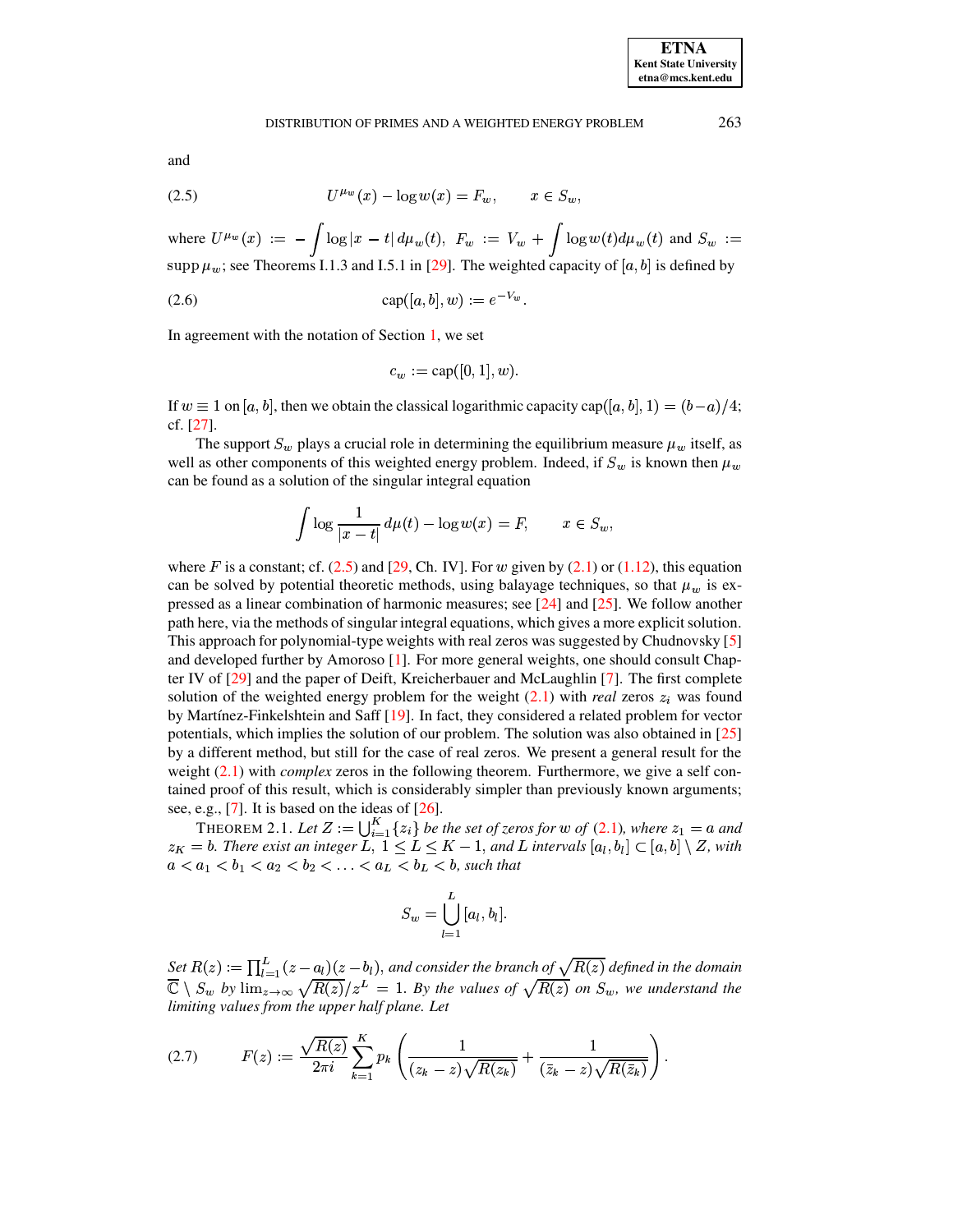<span id="page-4-0"></span>and

(2.5) 
$$
U^{\mu_w}(x) - \log w(x) = F_w, \qquad x \in S_w,
$$

where  $U^{\mu_w}(x) := -\int \log |x - t| d\mu_w(t)$ ,  $F_w := V_w + \int \log w(t) d\mu_w(t)$  and  $S_w :=$ supp  $\mu_w$ ; see Theorems I.1.3 and I.5.1 in [29]. The weighted capacity of [a, b] is defined by

(2.6) 
$$
\text{cap}([a, b], w) := e^{-V_w}
$$

In agreement with the notation of Section 1, we set

$$
c_w := \text{cap}([0, 1], w).
$$

If  $w \equiv 1$  on [a, b], then we obtain the classical logarithmic capacity cap([a, b], 1) =  $(b-a)/4$ ;  $cf. [27]$ .

The support  $S_w$  plays a crucial role in determining the equilibrium measure  $\mu_w$  itself, as well as other components of this weighted energy problem. Indeed, if  $S_w$  is known then  $\mu_w$ can be found as a solution of the singular integral equation

$$
\int \log \frac{1}{|x-t|} d\mu(t) - \log w(x) = F, \qquad x \in S_w,
$$

where F is a constant; cf.  $(2.5)$  and [29, Ch. IV]. For w given by  $(2.1)$  or  $(1.12)$ , this equation can be solved by potential theoretic methods, using balayage techniques, so that  $\mu_w$  is expressed as a linear combination of harmonic measures; see  $[24]$  and  $[25]$ . We follow another path here, via the methods of singular integral equations, which gives a more explicit solution. This approach for polynomial-type weights with real zeros was suggested by Chudnovsky [5] and developed further by Amoroso [1]. For more general weights, one should consult Chapter IV of  $[29]$  and the paper of Deift, Kreicherbauer and McLaughlin  $[7]$ . The first complete solution of the weighted energy problem for the weight  $(2.1)$  with *real* zeros  $z_i$  was found by Martínez-Finkelshtein and Saff [19]. In fact, they considered a related problem for vector potentials, which implies the solution of our problem. The solution was also obtained in [25] by a different method, but still for the case of real zeros. We present a general result for the weight  $(2.1)$  with *complex* zeros in the following theorem. Furthermore, we give a self contained proof of this result, which is considerably simpler than previously known arguments; see, e.g.,  $[7]$ . It is based on the ideas of  $[26]$ .

<span id="page-4-1"></span>THEOREM 2.1. Let  $Z := \bigcup_{i=1}^{K} \{z_i\}$  be the set of zeros for w of (2.1), where  $z_1 = a$  and  $z_K = b$ . There exist an integer  $L, 1 \le L \le K - 1$ , and L intervals  $[a_l, b_l] \subset [a, b] \setminus Z$ , with  $a < a_1 < b_1 < a_2 < b_2 < \ldots < a_L < b_L < b$ , such that

<span id="page-4-2"></span>
$$
S_w = \bigcup_{l=1}^L [a_l, b_l].
$$

Set  $R(z) := \prod_{l=1}^{L} (z - a_l)(z - b_l)$ , and consider the branch of  $\sqrt{R(z)}$  defined in the domain  $\overline{\mathbb{C}} \setminus S_w$  by  $\lim_{z \to \infty} \sqrt{R(z)}/z^L = 1$ . By the values of  $\sqrt{R(z)}$  on  $S_w$ , we understand the limiting values from the upper half plane. Let

$$
(2.7) \qquad F(z) := \frac{\sqrt{R(z)}}{2\pi i} \sum_{k=1}^{K} p_k \left( \frac{1}{(z_k - z)\sqrt{R(z_k)}} + \frac{1}{(\bar{z}_k - z)\sqrt{R(\bar{z}_k)}} \right).
$$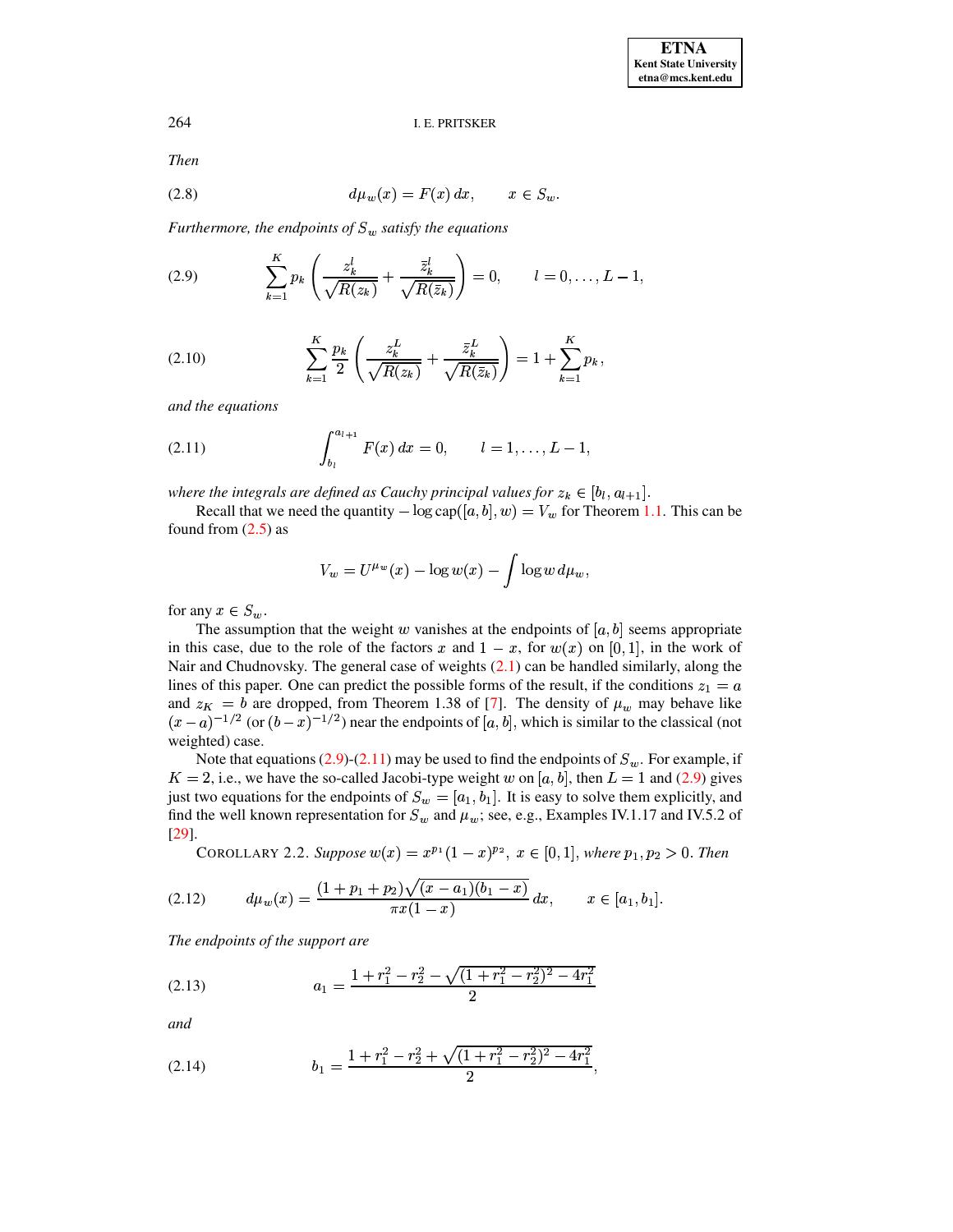<span id="page-5-6"></span>**Then** 

$$
(2.8) \t d\mu_w(x) = F(x) dx, \t x \in S_w.
$$

<span id="page-5-0"></span>Furthermore, the endpoints of  $S_w$  satisfy the equations

$$
(2.9) \qquad \sum_{k=1}^K p_k \left( \frac{z_k^l}{\sqrt{R(z_k)}} + \frac{\overline{z}_k^l}{\sqrt{R(\overline{z}_k)}} \right) = 0, \qquad l = 0, \ldots, L-1,
$$

<span id="page-5-7"></span>(2.10) 
$$
\sum_{k=1}^{K} \frac{p_k}{2} \left( \frac{z_k^L}{\sqrt{R(z_k)}} + \frac{\bar{z}_k^L}{\sqrt{R(\bar{z}_k)}} \right) = 1 + \sum_{k=1}^{K} p_k,
$$

<span id="page-5-1"></span>and the equations

(2.11) 
$$
\int_{b_l}^{a_{l+1}} F(x) dx = 0, \qquad l = 1, \ldots, L-1,
$$

where the integrals are defined as Cauchy principal values for  $z_k \in [b_l, a_{l+1}]$ .

Recall that we need the quantity  $-\log \text{cap}([a, b], w) = V_w$  for Theorem 1.1. This can be found from  $(2.5)$  as

<span id="page-5-3"></span>
$$
V_w = U^{\mu_w}(x) - \log w(x) - \int \log w \, d\mu_w,
$$

for any  $x \in S_w$ .

The assumption that the weight w vanishes at the endpoints of [a, b] seems appropriate in this case, due to the role of the factors x and  $1 - x$ , for  $w(x)$  on [0, 1], in the work of Nair and Chudnovsky. The general case of weights  $(2.1)$  can be handled similarly, along the lines of this paper. One can predict the possible forms of the result, if the conditions  $z_1 = a$ and  $z_K = b$  are dropped, from Theorem 1.38 of [7]. The density of  $\mu_w$  may behave like  $(x-a)^{-1/2}$  (or  $(b-x)^{-1/2}$ ) near the endpoints of [a, b], which is similar to the classical (not weighted) case.

Note that equations (2.9)-(2.11) may be used to find the endpoints of  $S_w$ . For example, if  $K = 2$ , i.e., we have the so-called Jacobi-type weight w on [a, b], then  $L = 1$  and (2.9) gives just two equations for the endpoints of  $S_w = [a_1, b_1]$ . It is easy to solve them explicitly, and find the well known representation for  $S_w$  and  $\mu_w$ ; see, e.g., Examples IV.1.17 and IV.5.2 of  $[29]$ .

COROLLARY 2.2. Suppose  $w(x) = x^{p_1}(1-x)^{p_2}, x \in [0,1]$ , where  $p_1, p_2 > 0$ . Then

<span id="page-5-2"></span>
$$
(2.12) \t d\mu_w(x) = \frac{(1+p_1+p_2)\sqrt{(x-a_1)(b_1-x)}}{\pi x(1-x)} dx, \t x \in [a_1, b_1].
$$

<span id="page-5-5"></span>The endpoints of the support are

$$
(2.13) \t\t\t a_1 = \frac{1 + r_1^2 - r_2^2 - \sqrt{(1 + r_1^2 - r_2^2)^2 - 4r_1^2}}{2}
$$

<span id="page-5-4"></span>and

$$
(2.14) \t\t b_1 = \frac{1+r_1^2-r_2^2+\sqrt{(1+r_1^2-r_2^2)^2-4r_1^2}}{2},
$$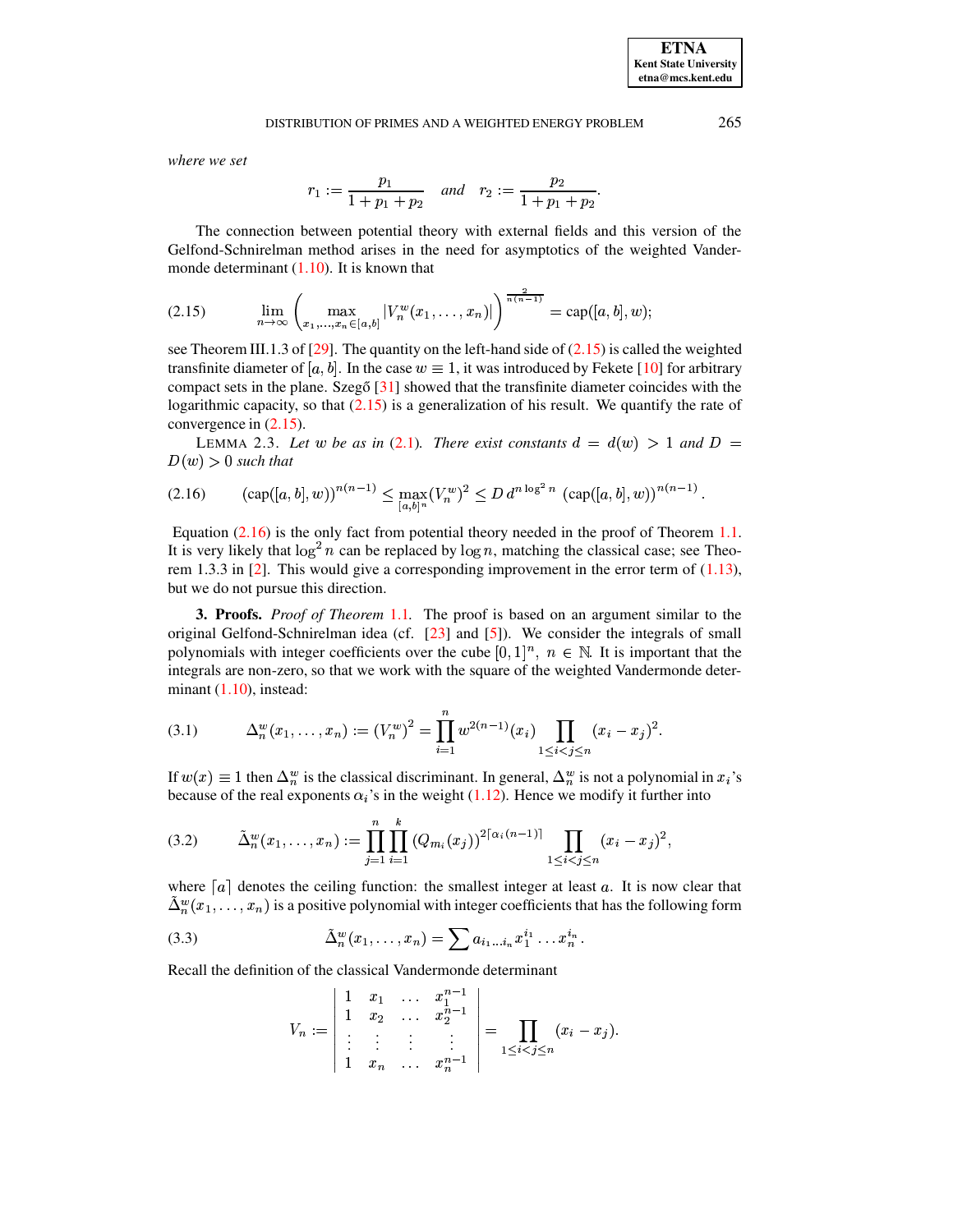where we set

<span id="page-6-0"></span>
$$
r_1 := \frac{p_1}{1 + p_1 + p_2} \quad and \quad r_2 := \frac{p_2}{1 + p_1 + p_2}
$$

The connection between potential theory with external fields and this version of the Gelfond-Schnirelman method arises in the need for asymptotics of the weighted Vandermonde determinant  $(1.10)$ . It is known that

$$
(2.15) \qquad \lim_{n \to \infty} \left( \max_{x_1, \ldots, x_n \in [a,b]} |V_n^w(x_1, \ldots, x_n)| \right)^{\frac{2}{n(n-1)}} = \text{cap}([a,b],w);
$$

see Theorem III.1.3 of [29]. The quantity on the left-hand side of  $(2.15)$  is called the weighted transfinite diameter of [a, b]. In the case  $w \equiv 1$ , it was introduced by Fekete [10] for arbitrary compact sets in the plane. Szegő  $[31]$  showed that the transfinite diameter coincides with the logarithmic capacity, so that  $(2.15)$  is a generalization of his result. We quantify the rate of convergence in  $(2.15)$ .

<span id="page-6-5"></span>LEMMA 2.3. Let w be as in (2.1). There exist constants  $d = d(w) > 1$  and  $D =$  $D(w) > 0$  such that

<span id="page-6-1"></span>
$$
(2.16) \qquad (\text{cap}([a,b],w))^{n(n-1)} \le \max_{[a,b]^n} (V_n^w)^2 \le D d^{n \log^2 n} (\text{cap}([a,b],w))^{n(n-1)}
$$

Equation  $(2.16)$  is the only fact from potential theory needed in the proof of Theorem 1.1. It is very likely that  $\log^2 n$  can be replaced by  $\log n$ , matching the classical case; see Theorem 1.3.3 in [2]. This would give a corresponding improvement in the error term of  $(1.13)$ , but we do not pursue this direction.

3. Proofs. *Proof of Theorem* 1.1. The proof is based on an argument similar to the original Gelfond-Schnirelman idea (cf. [23] and [5]). We consider the integrals of small polynomials with integer coefficients over the cube [0, 1]<sup>n</sup>,  $n \in \mathbb{N}$ . It is important that the integrals are non-zero, so that we work with the square of the weighted Vandermonde determinant  $(1.10)$ , instead:

<span id="page-6-4"></span>(3.1) 
$$
\Delta_n^w(x_1,\ldots,x_n) := (V_n^w)^2 = \prod_{i=1}^n w^{2(n-1)}(x_i) \prod_{1 \leq i < j \leq n} (x_i - x_j)^2.
$$

If  $w(x) \equiv 1$  then  $\Delta_n^w$  is the classical discriminant. In general,  $\Delta_n^w$  is not a polynomial in  $x_i$ 's because of the real exponents  $\alpha_i$ 's in the weight (1.12). Hence we modify it further into

<span id="page-6-2"></span>
$$
(3.2) \qquad \tilde{\Delta}_n^w(x_1,\ldots,x_n) := \prod_{j=1}^n \prod_{i=1}^k (Q_{m_i}(x_j))^{2\lceil \alpha_i(n-1) \rceil} \prod_{1 \leq i < j \leq n} (x_i - x_j)^2,
$$

where  $[a]$  denotes the ceiling function: the smallest integer at least a. It is now clear that  $\Delta_n^w(x_1,\ldots,x_n)$  is a positive polynomial with integer coefficients that has the following form

<span id="page-6-3"></span>(3.3) 
$$
\tilde{\Delta}_n^w(x_1,\ldots,x_n) = \sum a_{i_1...i_n} x_1^{i_1} \ldots x_n^{i_n}
$$

Recall the definition of the classical Vandermonde determinant

 $\mathbf{L}$ 

$$
V_n := \begin{vmatrix} 1 & x_1 & \dots & x_1^{n} \\ 1 & x_2 & \dots & x_2^{n-1} \\ \vdots & \vdots & \vdots & \vdots \\ 1 & x_n & \dots & x_n^{n-1} \end{vmatrix} = \prod_{1 \leq i < j \leq n} (x_i - x_j).
$$

 $n = 1 + 1$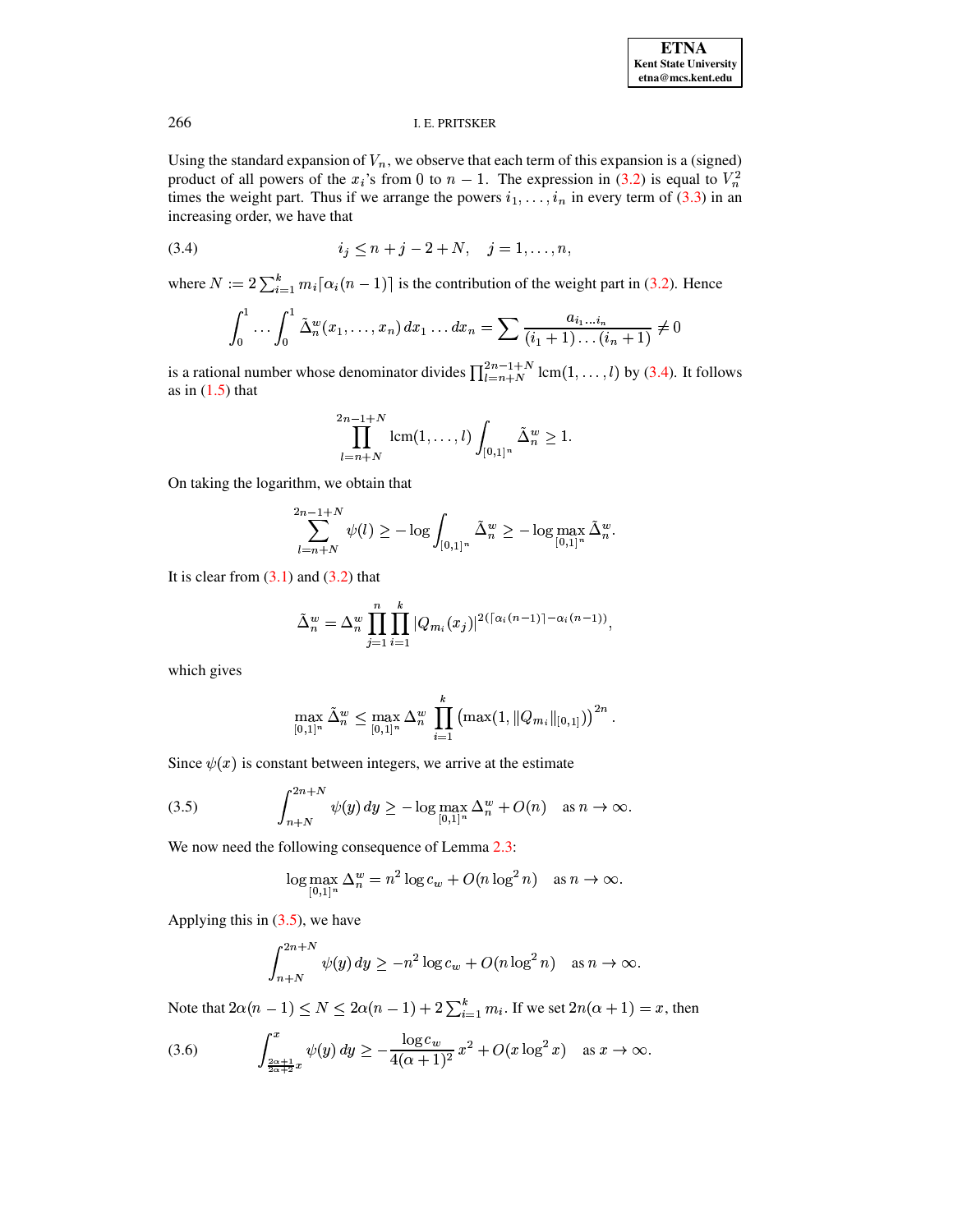Using the standard expansion of  $V_n$ , we observe that each term of this expansion is a (signed) product of all powers of the  $x_i$ 's from 0 to  $n-1$ . The expression in (3.2) is equal to  $V_n^2$ times the weight part. Thus if we arrange the powers  $i_1, \ldots, i_n$  in every term of (3.3) in an increasing order, we have that

<span id="page-7-0"></span>(3.4) 
$$
i_j \le n + j - 2 + N, \quad j = 1, ..., n,
$$

where  $N := 2 \sum_{i=1}^{k} m_i [\alpha_i (n-1)]$  is the contribution of the weight part in (3.2). Hence

$$
\int_0^1 \dots \int_0^1 \tilde{\Delta}_n^w(x_1, \dots, x_n) \, dx_1 \dots dx_n = \sum \frac{a_{i_1 \dots i_n}}{(i_1 + 1) \dots (i_n + 1)} \neq 0
$$

is a rational number whose denominator divides  $\prod_{l=n+N}^{2n-1+N}$  lcm(1, ..., l) by (3.4). It follows as in  $(1.5)$  that

$$
\prod_{l=n+N}^{2n-1+N} \operatorname{lcm}(1,\ldots,l) \int_{[0,1]^n} \tilde{\Delta}_n^w \ge 1.
$$

On taking the logarithm, we obtain that

$$
\sum_{l=n+N}^{2n-1+N} \psi(l) \ge -\log \int_{[0,1]^n} \tilde{\Delta}_n^w \ge -\log \max_{[0,1]^n} \tilde{\Delta}_n^w.
$$

It is clear from  $(3.1)$  and  $(3.2)$  that

$$
\tilde{\Delta}_n^w = \Delta_n^w \prod_{j=1}^n \prod_{i=1}^k |Q_{m_i}(x_j)|^{2(\lceil \alpha_i(n-1) \rceil - \alpha_i(n-1))},
$$

which gives

$$
\max_{[0,1]^n} \tilde{\Delta}_n^w \le \max_{[0,1]^n} \Delta_n^w \prod_{i=1}^k \left( \max(1, \|Q_{m_i}\|_{[0,1]}) \right)^{2n}.
$$

Since  $\psi(x)$  is constant between integers, we arrive at the estimate

<span id="page-7-1"></span>(3.5) 
$$
\int_{n+N}^{2n+N} \psi(y) dy \geq -\log \max_{[0,1]^n} \Delta_n^w + O(n) \quad \text{as } n \to \infty.
$$

We now need the following consequence of Lemma 2.3:

$$
\log \max_{[0,1]^n} \Delta_n^w = n^2 \log c_w + O(n \log^2 n) \quad \text{as } n \to \infty.
$$

Applying this in  $(3.5)$ , we have

$$
\int_{n+N}^{2n+N} \psi(y) \, dy \ge -n^2 \log c_w + O(n \log^2 n) \quad \text{as } n \to \infty.
$$

Note that  $2\alpha(n-1) \le N \le 2\alpha(n-1) + 2\sum_{i=1}^{k} m_i$ . If we set  $2n(\alpha+1) = x$ , then

<span id="page-7-2"></span>(3.6) 
$$
\int_{\frac{2\alpha+1}{2\alpha+2}x}^{x} \psi(y) \, dy \geq -\frac{\log c_w}{4(\alpha+1)^2} x^2 + O(x \log^2 x) \quad \text{as } x \to \infty.
$$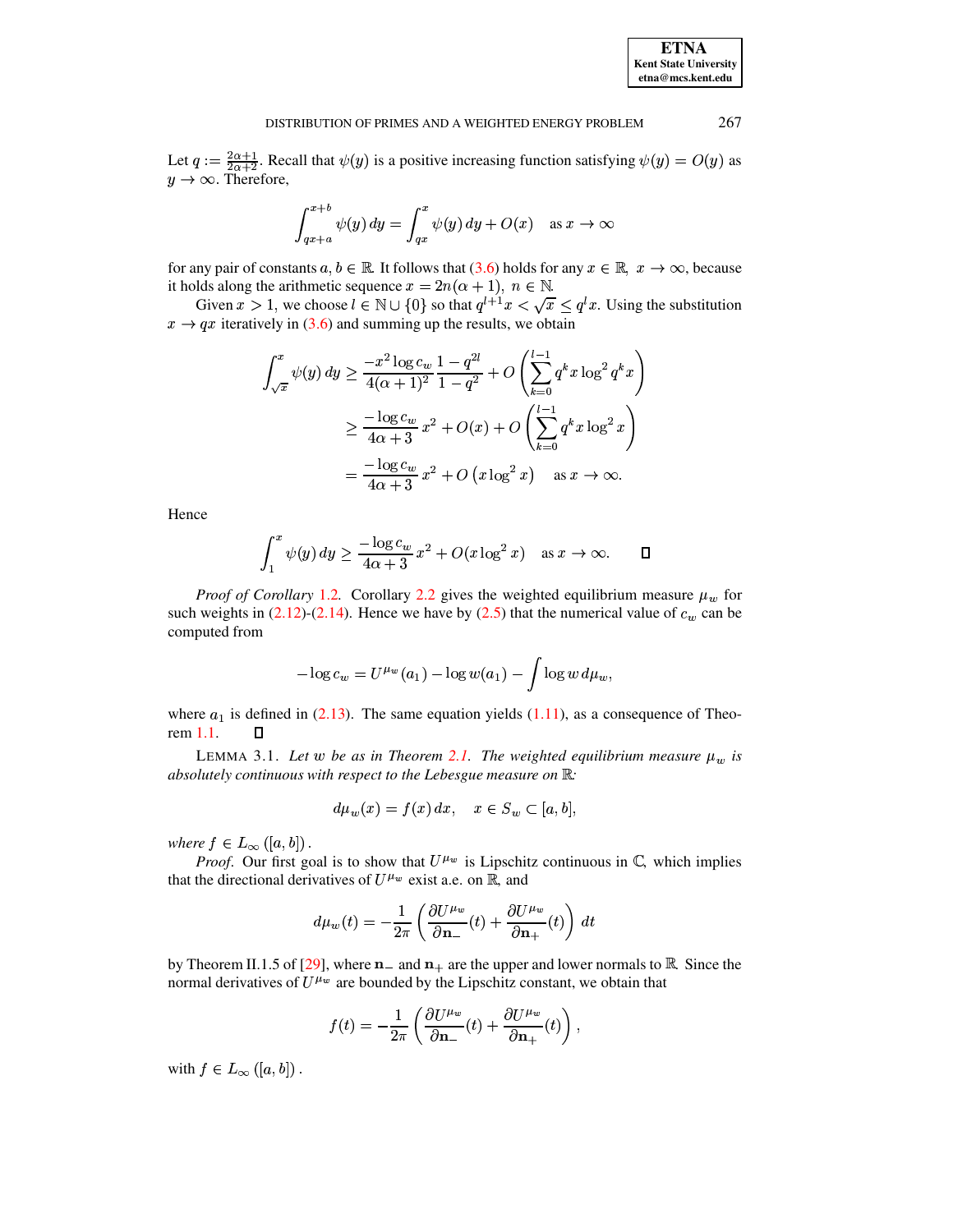267

#### DISTRIBUTION OF PRIMES AND A WEIGHTED ENERGY PROBLEM

Let  $q := \frac{2\alpha+1}{2\alpha+2}$ . Recall that  $\psi(y)$  is a positive increasing function satisfying  $\psi(y) = O(y)$  as  $y \rightarrow \infty$ . Therefore,

$$
\int_{qx+a}^{x+b} \psi(y) \, dy = \int_{qx}^{x} \psi(y) \, dy + O(x) \quad \text{as } x \to \infty
$$

for any pair of constants  $a, b \in \mathbb{R}$ . It follows that (3.6) holds for any  $x \in \mathbb{R}$ ,  $x \to \infty$ , because it holds along the arithmetic sequence  $x = 2n(\alpha + 1)$ ,  $n \in \mathbb{N}$ .

Given  $x > 1$ , we choose  $l \in \mathbb{N} \cup \{0\}$  so that  $q^{l+1}x < \sqrt{x} \leq q^l x$ . Using the substitution  $x \rightarrow qx$  iteratively in (3.6) and summing up the results, we obtain

$$
\int_{\sqrt{x}}^{x} \psi(y) \, dy \ge \frac{-x^2 \log c_w}{4(\alpha + 1)^2} \frac{1 - q^{2l}}{1 - q^2} + O\left(\sum_{k=0}^{l-1} q^k x \log^2 q^k x\right)
$$

$$
\ge \frac{-\log c_w}{4\alpha + 3} x^2 + O(x) + O\left(\sum_{k=0}^{l-1} q^k x \log^2 x\right)
$$

$$
= \frac{-\log c_w}{4\alpha + 3} x^2 + O\left(x \log^2 x\right) \quad \text{as } x \to \infty.
$$

Hence

$$
\int_1^x \psi(y) \, dy \ge \frac{-\log c_w}{4\alpha + 3} x^2 + O(x \log^2 x) \quad \text{as } x \to \infty. \qquad \Box
$$

*Proof of Corollary 1.2.* Corollary 2.2 gives the weighted equilibrium measure  $\mu_w$  for such weights in  $(2.12)-(2.14)$ . Hence we have by  $(2.5)$  that the numerical value of  $c_w$  can be computed from

$$
-\log c_w = U^{\mu_w}(a_1) - \log w(a_1) - \int \log w \, d\mu_w
$$

where  $a_1$  is defined in (2.13). The same equation yields (1.11), as a consequence of Theorem 1.1. Д

<span id="page-8-0"></span>LEMMA 3.1. Let w be as in Theorem 2.1. The weighted equilibrium measure  $\mu_w$  is absolutely continuous with respect to the Lebesgue measure on  $\mathbb{R}$ :

$$
d\mu_w(x) = f(x) dx, \quad x \in S_w \subset [a, b],
$$

where  $f \in L_{\infty}([a, b])$ .

*Proof.* Our first goal is to show that  $U^{\mu_w}$  is Lipschitz continuous in  $\mathbb{C}$ , which implies that the directional derivatives of  $U^{\mu_w}$  exist a.e. on R, and

$$
d\mu_w(t) = -\frac{1}{2\pi} \left( \frac{\partial U^{\mu_w}}{\partial \mathbf{n}_-}(t) + \frac{\partial U^{\mu_w}}{\partial \mathbf{n}_+}(t) \right) dt
$$

by Theorem II.1.5 of [29], where  $n_{-}$  and  $n_{+}$  are the upper and lower normals to R. Since the normal derivatives of  $U^{\mu_w}$  are bounded by the Lipschitz constant, we obtain that

$$
f(t) = -\frac{1}{2\pi} \left( \frac{\partial U^{\mu w}}{\partial \mathbf{n}_{-}}(t) + \frac{\partial U^{\mu w}}{\partial \mathbf{n}_{+}}(t) \right),
$$

with  $f \in L_{\infty}([a, b])$ .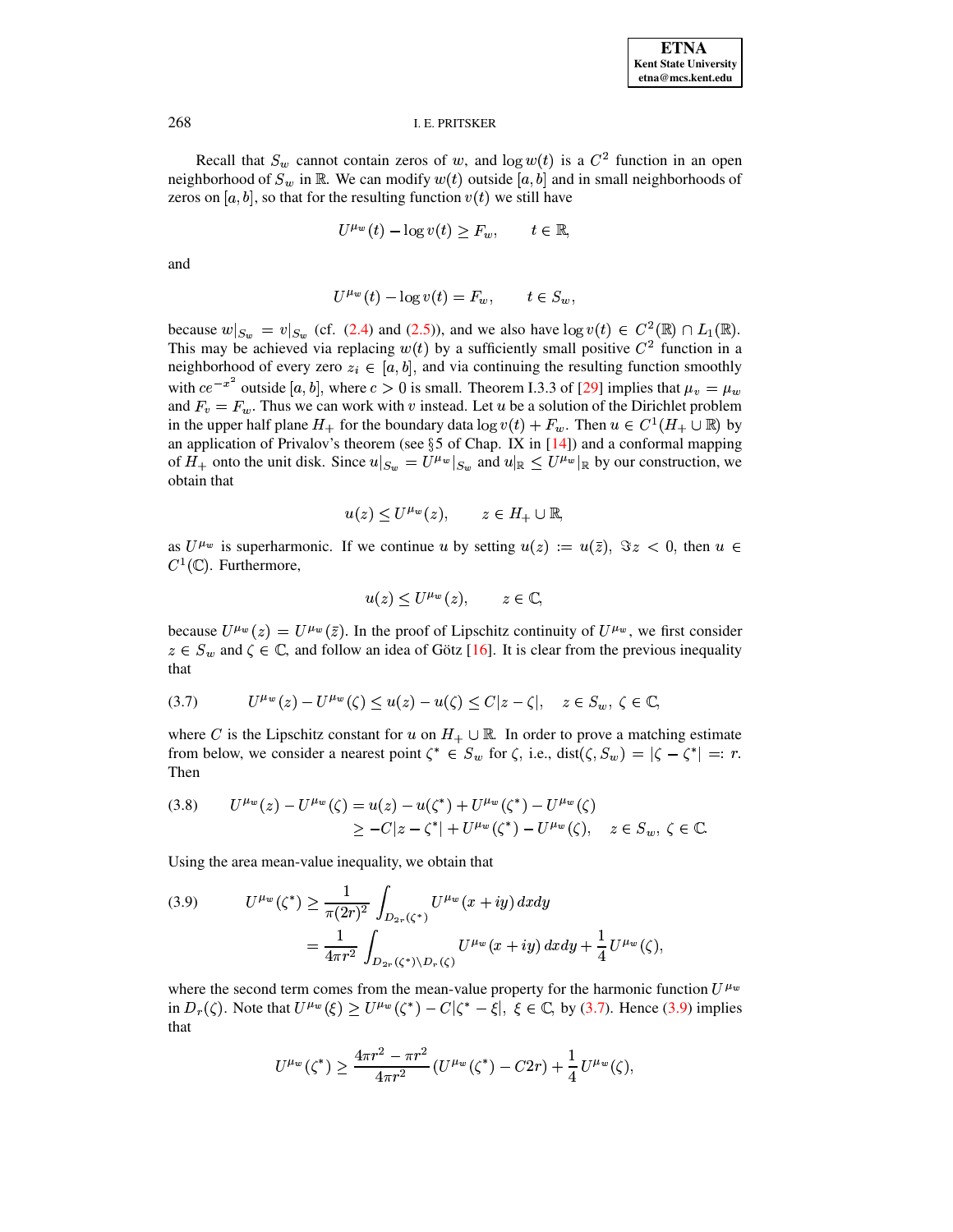Recall that  $S_w$  cannot contain zeros of w, and  $\log w(t)$  is a  $C^2$  function in an open neighborhood of  $S_w$  in  $\mathbb{R}$ . We can modify  $w(t)$  outside [a, b] and in small neighborhoods of zeros on [a, b], so that for the resulting function  $v(t)$  we still have

$$
U^{\mu_w}(t) - \log v(t) \ge F_w, \qquad t \in \mathbb{R},
$$

and

$$
U^{\mu_w}(t) - \log v(t) = F_w, \qquad t \in S_w,
$$

because  $w|_{S_w} = v|_{S_w}$  (cf. (2.4) and (2.5)), and we also have  $\log v(t) \in C^2(\mathbb{R}) \cap L_1(\mathbb{R})$ . This may be achieved via replacing  $w(t)$  by a sufficiently small positive  $C<sup>2</sup>$  function in a neighborhood of every zero  $z_i \in [a, b]$ , and via continuing the resulting function smoothly with  $ce^{-x^2}$  outside [a, b], where  $c > 0$  is small. Theorem I.3.3 of [29] implies that  $\mu_v = \mu_w$ and  $F_v = F_w$ . Thus we can work with v instead. Let u be a solution of the Dirichlet problem in the upper half plane  $H_+$  for the boundary data  $\log v(t) + F_w$ . Then  $u \in C^1(H_+ \cup \mathbb{R})$  by an application of Privalov's theorem (see  $\S$ 5 of Chap. IX in [14]) and a conformal mapping of  $H_+$  onto the unit disk. Since  $u|_{S_w} = U^{\mu_w}|_{S_w}$  and  $u|_{\mathbb{R}} \leq U^{\mu_w}|_{\mathbb{R}}$  by our construction, we obtain that

$$
u(z) \le U^{\mu_w}(z), \qquad z \in H_+ \cup \mathbb{R},
$$

as  $U^{\mu_w}$  is superharmonic. If we continue u by setting  $u(z) := u(\overline{z})$ ,  $\Im z < 0$ , then  $u \in$  $C^1(\mathbb{C})$ . Furthermore,

$$
u(z) \le U^{\mu_w}(z), \qquad z \in \mathbb{C},
$$

because  $U^{\mu_w}(z) = U^{\mu_w}(\bar{z})$ . In the proof of Lipschitz continuity of  $U^{\mu_w}$ , we first consider  $z \in S_w$  and  $\zeta \in \mathbb{C}$ , and follow an idea of Götz [16]. It is clear from the previous inequality that

<span id="page-9-0"></span>
$$
(3.7) \tU^{\mu_w}(z) - U^{\mu_w}(\zeta) \le u(z) - u(\zeta) \le C|z - \zeta|, \quad z \in S_w, \ \zeta \in \mathbb{C},
$$

where C is the Lipschitz constant for u on  $H_+ \cup \mathbb{R}$ . In order to prove a matching estimate from below, we consider a nearest point  $\zeta^* \in S_w$  for  $\zeta$ , i.e., dist $(\zeta, S_w) = |\zeta - \zeta^*| =: r$ . Then

<span id="page-9-2"></span>
$$
(3.8) \qquad U^{\mu_w}(z) - U^{\mu_w}(\zeta) = u(z) - u(\zeta^*) + U^{\mu_w}(\zeta^*) - U^{\mu_w}(\zeta)
$$
  
 
$$
\geq -C|z - \zeta^*| + U^{\mu_w}(\zeta^*) - U^{\mu_w}(\zeta), \quad z \in S_w, \ \zeta \in \mathbb{C}.
$$

Using the area mean-value inequality, we obtain that

<span id="page-9-1"></span>(3.9) 
$$
U^{\mu_w}(\zeta^*) \ge \frac{1}{\pi(2r)^2} \int_{D_{2r}(\zeta^*)} U^{\mu_w}(x+iy) dx dy
$$

$$
= \frac{1}{4\pi r^2} \int_{D_{2r}(\zeta^*) \backslash D_r(\zeta)} U^{\mu_w}(x+iy) dx dy + \frac{1}{4} U^{\mu_w}(\zeta),
$$

where the second term comes from the mean-value property for the harmonic function  $U^{\mu\nu}$ in  $D_r(\zeta)$ . Note that  $U^{\mu_w}(\xi) \geq U^{\mu_w}(\zeta^*) - C|\zeta^* - \xi|$ ,  $\xi \in \mathbb{C}$ , by (3.7). Hence (3.9) implies that

$$
U^{\mu_w}(\zeta^*) \ge \frac{4\pi r^2 - \pi r^2}{4\pi r^2} \left( U^{\mu_w}(\zeta^*) - C2r \right) + \frac{1}{4} U^{\mu_w}(\zeta),
$$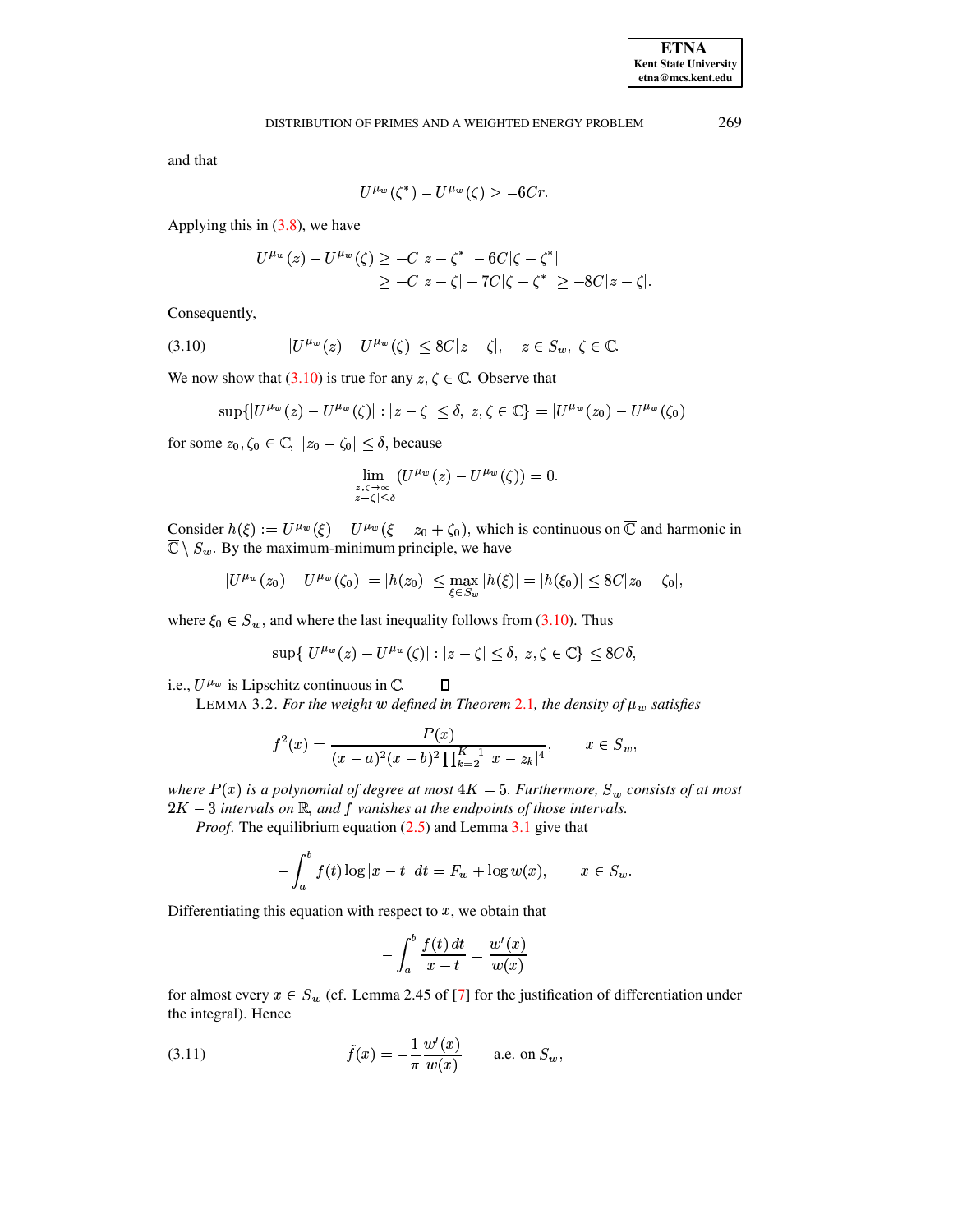269

and that

$$
U^{\mu_w}(\zeta^*) - U^{\mu_w}(\zeta) \ge -6Cr.
$$

Applying this in  $(3.8)$ , we have

$$
U^{\mu_w}(z) - U^{\mu_w}(\zeta) \ge -C|z - \zeta^*| - 6C|\zeta - \zeta^*|
$$
  
 
$$
\ge -C|z - \zeta| - 7C|\zeta - \zeta^*| \ge -8C|z - \zeta|.
$$

Consequently,

<span id="page-10-0"></span>
$$
(3.10) \t|U^{\mu_w}(z) - U^{\mu_w}(\zeta)| \le 8C|z - \zeta|, \quad z \in S_w, \ \zeta \in \mathbb{C}.
$$

We now show that (3.10) is true for any  $z, \zeta \in \mathbb{C}$ . Observe that

$$
\sup\{|U^{\mu_w}(z) - U^{\mu_w}(\zeta)| : |z - \zeta| \le \delta, z, \zeta \in \mathbb{C}\} = |U^{\mu_w}(z_0) - U^{\mu_w}(\zeta_0)|
$$

for some  $z_0, \zeta_0 \in \mathbb{C}, |z_0 - \zeta_0| \leq \delta$ , because

$$
\lim_{\substack{z,\zeta\to\infty\\|z-\zeta|\leq\delta}}\left(U^{\mu_w}\left(z\right)-U^{\mu_w}\left(\zeta\right)\right)=0.
$$

Consider  $h(\xi) := U^{\mu_w}(\xi) - U^{\mu_w}(\xi - z_0 + \zeta_0)$ , which is continuous on  $\overline{\mathbb{C}}$  and harmonic in  $\overline{\mathbb{C}} \setminus S_w$ . By the maximum-minimum principle, we have

$$
|U^{\mu_w}(z_0) - U^{\mu_w}(\zeta_0)| = |h(z_0)| \le \max_{\xi \in S_w} |h(\xi)| = |h(\xi_0)| \le 8C|z_0 - \zeta_0|,
$$

where  $\xi_0 \in S_w$ , and where the last inequality follows from (3.10). Thus

$$
\sup\{|U^{\mu_w}(z) - U^{\mu_w}(\zeta)| : |z - \zeta| \le \delta, z, \zeta \in \mathbb{C}\} \le 8C\delta,
$$

<span id="page-10-2"></span>i.e.,  $U^{\mu_w}$  is Lipschitz continuous in  $\mathbb{C}$ .  $\Box$ 

LEMMA 3.2. For the weight w defined in Theorem 2.1, the density of  $\mu_w$  satisfies

$$
f^{2}(x) = \frac{P(x)}{(x-a)^{2}(x-b)^{2} \prod_{k=2}^{K-1} |x-z_{k}|^{4}}, \qquad x \in S_{w},
$$

where  $P(x)$  is a polynomial of degree at most  $4K-5$ . Furthermore,  $S_w$  consists of at most  $2K-3$  intervals on  $\mathbb R$ , and f vanishes at the endpoints of those intervals.

*Proof.* The equilibrium equation  $(2.5)$  and Lemma 3.1 give that

$$
-\int_a^b f(t) \log|x-t| dt = F_w + \log w(x), \qquad x \in S_w
$$

Differentiating this equation with respect to  $x$ , we obtain that

$$
-\int_a^b \frac{f(t) dt}{x-t} = \frac{w'(x)}{w(x)}
$$

for almost every  $x \in S_w$  (cf. Lemma 2.45 of [7] for the justification of differentiation under the integral). Hence

<span id="page-10-1"></span>(3.11) 
$$
\tilde{f}(x) = -\frac{1}{\pi} \frac{w'(x)}{w(x)} \quad \text{a.e. on } S_w,
$$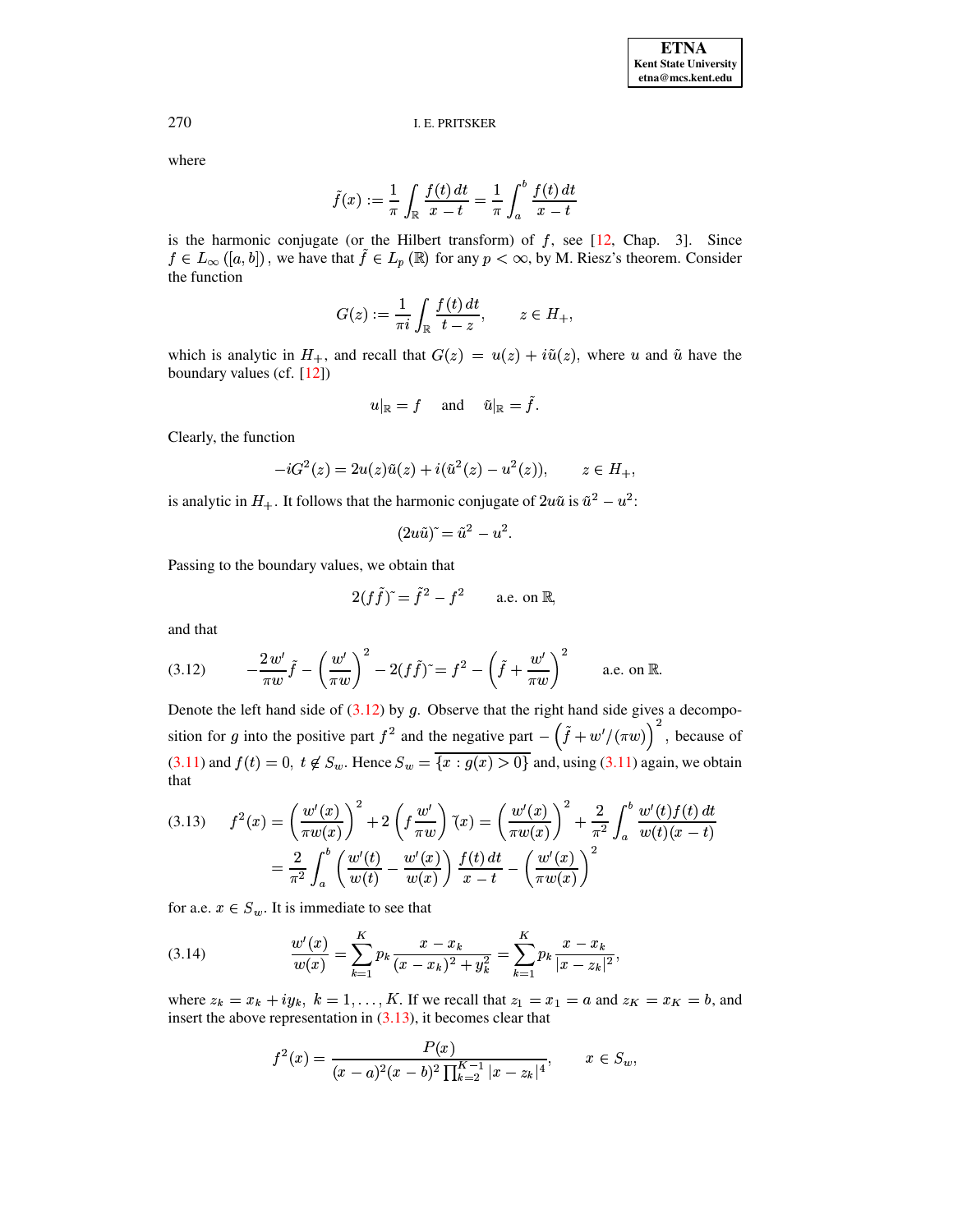where

$$
\tilde{f}(x) := \frac{1}{\pi} \int_{\mathbb{R}} \frac{f(t) dt}{x - t} = \frac{1}{\pi} \int_a^b \frac{f(t) dt}{x - t}
$$

is the harmonic conjugate (or the Hilbert transform) of  $f$ , see [12, Chap. 3]. Since  $f \in L_{\infty}([a, b])$ , we have that  $\tilde{f} \in L_p(\mathbb{R})$  for any  $p < \infty$ , by M. Riesz's theorem. Consider the function

$$
G(z) := \frac{1}{\pi i} \int_{\mathbb{R}} \frac{f(t) dt}{t - z}, \qquad z \in H_+
$$

which is analytic in  $H_+$ , and recall that  $G(z) = u(z) + i\tilde{u}(z)$ , where u and  $\tilde{u}$  have the boundary values (cf.  $[12]$ )

$$
u|_{\mathbb{R}} = f \quad \text{ and } \quad \tilde{u}|_{\mathbb{R}} = \tilde{f}.
$$

Clearly, the function

$$
-iG^{2}(z) = 2u(z)\tilde{u}(z) + i(\tilde{u}^{2}(z) - u^{2}(z)), \qquad z \in H_{+},
$$

is analytic in  $H_+$ . It follows that the harmonic conjugate of  $2u\tilde{u}$  is  $\tilde{u}^2 - u^2$ :

$$
(2u\tilde u)^{\tilde{}} = \tilde u^2 - u^2.
$$

Passing to the boundary values, we obtain that

$$
2(f\tilde{f})^{\sim} = \tilde{f}^2 - f^2 \quad \text{a.e. on } \mathbb{R},
$$

and that

<span id="page-11-0"></span>(3.12) 
$$
-\frac{2 w'}{\pi w} \tilde{f} - \left(\frac{w'}{\pi w}\right)^2 - 2(f\tilde{f})^2 = f^2 - \left(\tilde{f} + \frac{w'}{\pi w}\right)^2 \quad \text{a.e. on } \mathbb{R}.
$$

Denote the left hand side of  $(3.12)$  by g. Observe that the right hand side gives a decomposition for g into the positive part  $f^2$  and the negative part  $-\left(\tilde{f} + w' / (\pi w)\right)^2$ , because of  $(3.11)$  and  $f(t) = 0$ ,  $t \notin S_w$ . Hence  $S_w = \overline{\{x : g(x) > 0\}}$  and, using  $(3.11)$  again, we obtain that

<span id="page-11-1"></span>
$$
(3.13) \quad f^{2}(x) = \left(\frac{w'(x)}{\pi w(x)}\right)^{2} + 2\left(f\frac{w'}{\pi w}\right)^{2}(x) = \left(\frac{w'(x)}{\pi w(x)}\right)^{2} + \frac{2}{\pi^{2}}\int_{a}^{b}\frac{w'(t)f(t) dt}{w(t)(x-t)}
$$

$$
= \frac{2}{\pi^{2}}\int_{a}^{b}\left(\frac{w'(t)}{w(t)} - \frac{w'(x)}{w(x)}\right)\frac{f(t) dt}{x-t} - \left(\frac{w'(x)}{\pi w(x)}\right)^{2}
$$

for a.e.  $x \in S_w$ . It is immediate to see that

<span id="page-11-2"></span>(3.14) 
$$
\frac{w'(x)}{w(x)} = \sum_{k=1}^{K} p_k \frac{x - x_k}{(x - x_k)^2 + y_k^2} = \sum_{k=1}^{K} p_k \frac{x - x_k}{|x - z_k|^2},
$$

where  $z_k = x_k + iy_k$ ,  $k = 1, ..., K$ . If we recall that  $z_1 = x_1 = a$  and  $z_K = x_K = b$ , and insert the above representation in  $(3.13)$ , it becomes clear that

$$
f^{2}(x) = \frac{P(x)}{(x-a)^{2}(x-b)^{2}\prod_{k=2}^{K-1}|x-z_{k}|^{4}}, \qquad x \in S_{w},
$$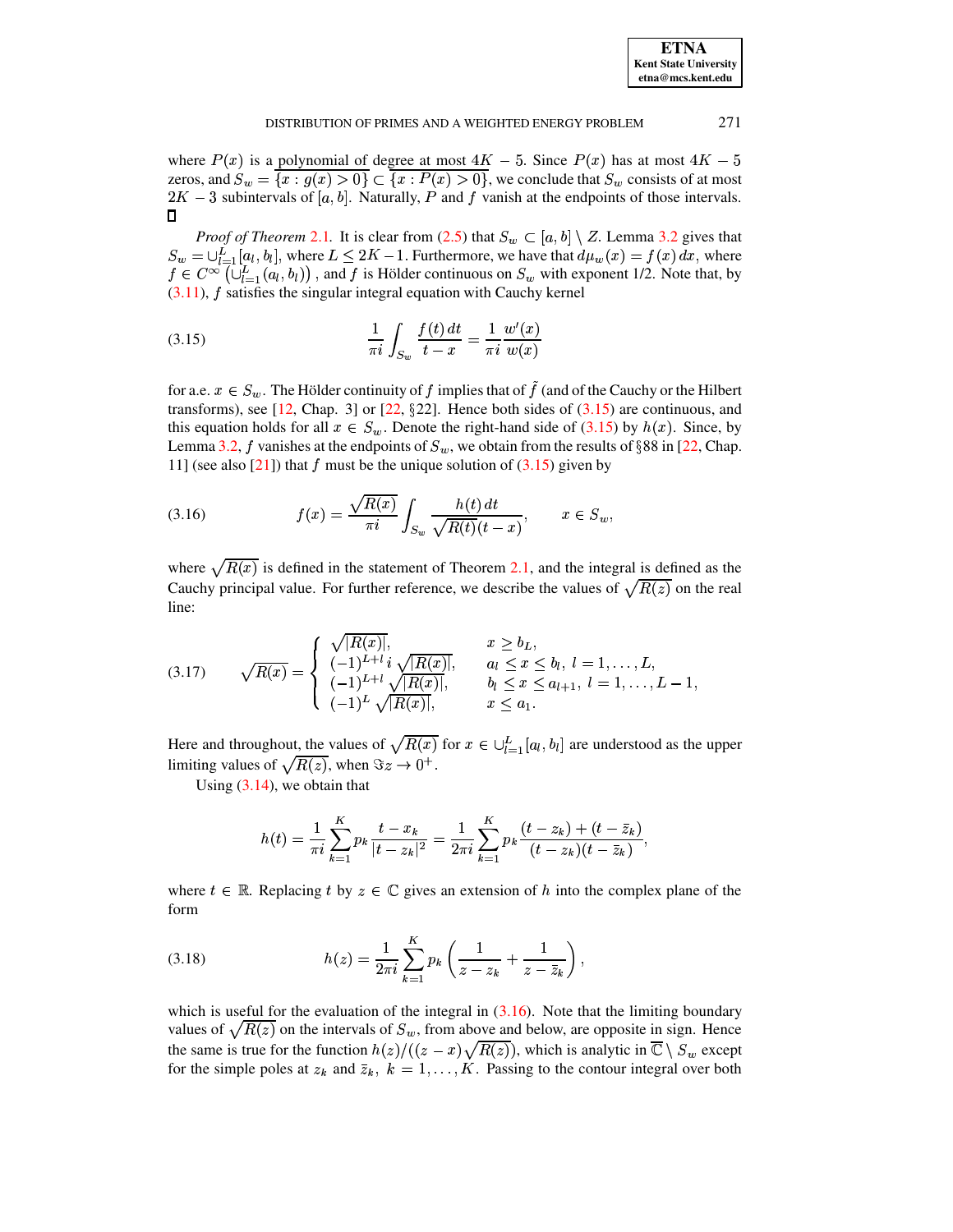| <b>ETNA</b>                  |
|------------------------------|
| <b>Kent State University</b> |
| etna@mcs.kent.edu            |

where  $P(x)$  is a polynomial of degree at most  $4K - 5$ . Since  $P(x)$  has at most  $4K - 5$ zeros, and  $S_w = \{x : g(x) > 0\} \subset \{x : P(x) > 0\}$ , we conclude that  $S_w$  consists of at most  $2K-3$  subintervals of [a, b]. Naturally, P and f vanish at the endpoints of those intervals.  $\Box$ 

*Proof of Theorem 2.1.* It is clear from (2.5) that  $S_w \subset [a, b] \setminus Z$ . Lemma 3.2 gives that  $S_w = \bigcup_{l=1}^{L} [a_l, b_l]$ , where  $L \leq 2K - 1$ . Furthermore, we have that  $d\mu_w(x) = f(x) dx$ , where  $f \in C^{\infty}(\cup_{l=1}^{L}(a_{l},b_{l}))$ , and f is Hölder continuous on  $S_{w}$  with exponent 1/2. Note that, by  $(3.11)$ ,  $f$  satisfies the singular integral equation with Cauchy kernel

<span id="page-12-0"></span>(3.15) 
$$
\frac{1}{\pi i} \int_{S_w} \frac{f(t) dt}{t - x} = \frac{1}{\pi i} \frac{w'(x)}{w(x)}
$$

for a.e.  $x \in S_w$ . The Hölder continuity of  $f$  implies that of  $\tilde{f}$  (and of the Cauchy or the Hilbert transforms), see [12, Chap. 3] or [22,  $\S 22$ ]. Hence both sides of  $(3.15)$  are continuous, and this equation holds for all  $x \in S_w$ . Denote the right-hand side of (3.15) by  $h(x)$ . Since, by Lemma 3.2, f vanishes at the endpoints of  $S_w$ , we obtain from the results of §88 in [22, Chap. 11] (see also [21]) that f must be the unique solution of  $(3.15)$  given by

<span id="page-12-1"></span>(3.16) 
$$
f(x) = \frac{\sqrt{R(x)}}{\pi i} \int_{S_w} \frac{h(t) dt}{\sqrt{R(t)}(t-x)}, \qquad x \in S_w
$$

where  $\sqrt{R(x)}$  is defined in the statement of Theorem 2.1, and the integral is defined as the Cauchy principal value. For further reference, we describe the values of  $\sqrt{R(z)}$  on the real line:

<span id="page-12-2"></span>
$$
(3.17) \qquad \sqrt{R(x)} = \begin{cases} \sqrt{|R(x)|}, & x \ge b_L, \\ (-1)^{L+l} i \sqrt{|R(x)|}, & a_l \le x \le b_l, \ l = 1, \dots, L, \\ (-1)^{L+l} \sqrt{|R(x)|}, & b_l \le x \le a_{l+1}, \ l = 1, \dots, L-1, \\ (-1)^L \sqrt{|R(x)|}, & x \le a_1. \end{cases}
$$

Here and throughout, the values of  $\sqrt{R(x)}$  for  $x \in \bigcup_{l=1}^{L} [a_l, b_l]$  are understood as the upper limiting values of  $\sqrt{R(z)}$ , when  $\Im z \to 0^+$ .

Using  $(3.14)$ , we obtain that

$$
h(t) = \frac{1}{\pi i} \sum_{k=1}^{K} p_k \frac{t - x_k}{|t - z_k|^2} = \frac{1}{2\pi i} \sum_{k=1}^{K} p_k \frac{(t - z_k) + (t - \bar{z}_k)}{(t - z_k)(t - \bar{z}_k)},
$$

where  $t \in \mathbb{R}$ . Replacing t by  $z \in \mathbb{C}$  gives an extension of h into the complex plane of the form

(3.18) 
$$
h(z) = \frac{1}{2\pi i} \sum_{k=1}^{K} p_k \left( \frac{1}{z - z_k} + \frac{1}{z - \bar{z}_k} \right),
$$

which is useful for the evaluation of the integral in  $(3.16)$ . Note that the limiting boundary values of  $\sqrt{R(z)}$  on the intervals of  $S_w$ , from above and below, are opposite in sign. Hence the same is true for the function  $h(z)/((z-x)\sqrt{R(z)})$ , which is analytic in  $\overline{\mathbb{C}} \setminus S_w$  except<br>for the simple poles at  $z_k$  and  $\overline{z}_k$ ,  $k = 1, ..., K$ . Passing to the contour integral over both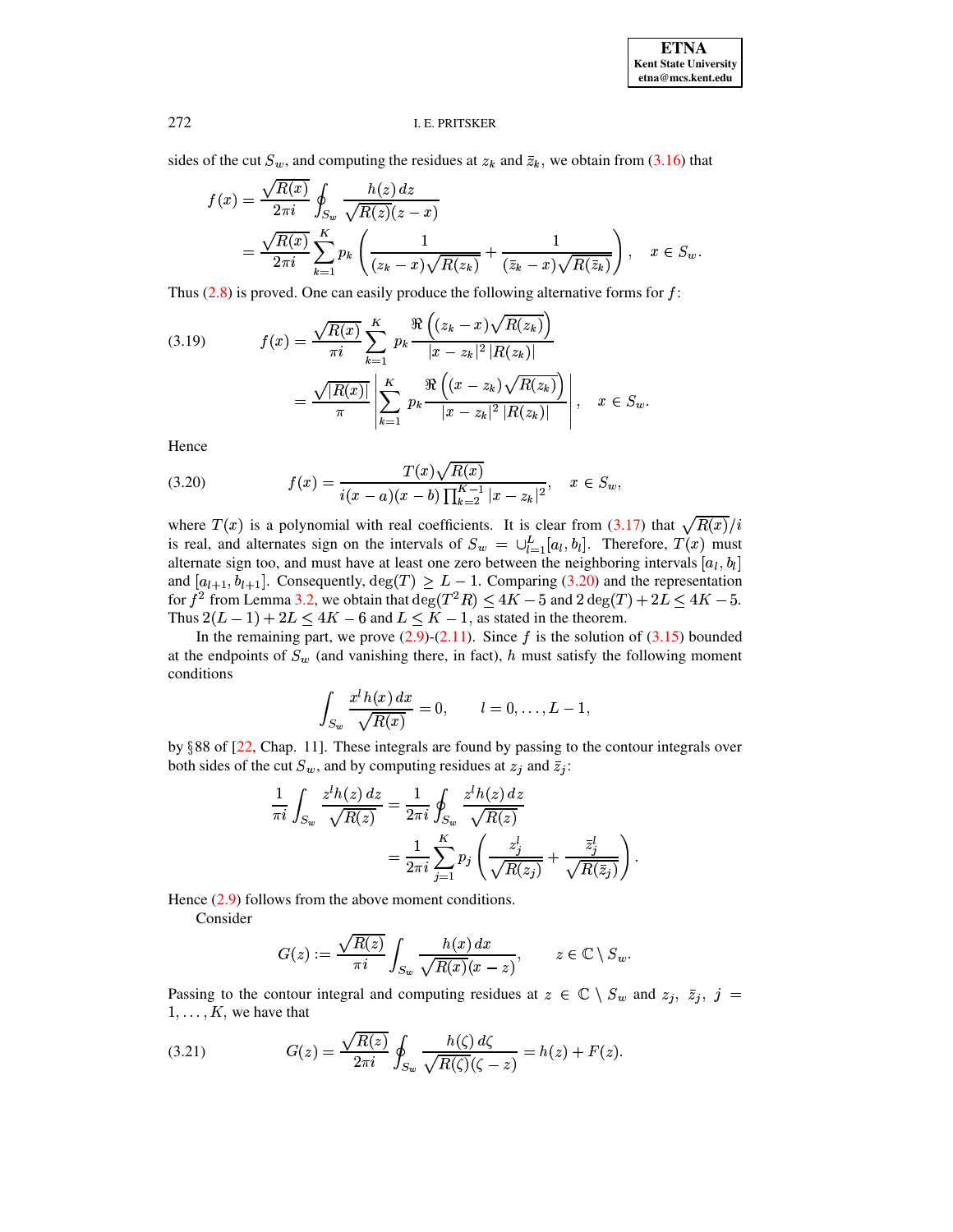sides of the cut  $S_w$ , and computing the residues at  $z_k$  and  $\overline{z}_k$ , we obtain from (3.16) that

$$
f(x) = \frac{\sqrt{R(x)}}{2\pi i} \oint_{S_w} \frac{h(z) dz}{\sqrt{R(z)}(z - x)}
$$
  
= 
$$
\frac{\sqrt{R(x)}}{2\pi i} \sum_{k=1}^K p_k \left( \frac{1}{(z_k - x)\sqrt{R(z_k)}} + \frac{1}{(\bar{z}_k - x)\sqrt{R(\bar{z}_k)}} \right), \quad x \in S_w.
$$

Thus  $(2.8)$  is proved. One can easily produce the following alternative forms for  $f$ :

(3.19) 
$$
f(x) = \frac{\sqrt{R(x)}}{\pi i} \sum_{k=1}^{K} p_k \frac{\Re((z_k - x)\sqrt{R(z_k)})}{|x - z_k|^2 |R(z_k)|} = \frac{\sqrt{|R(x)|}}{\pi} \left| \sum_{k=1}^{K} p_k \frac{\Re((x - z_k)\sqrt{R(z_k)})}{|x - z_k|^2 |R(z_k)|} \right|, \quad x \in S_w.
$$

Hence

<span id="page-13-0"></span>(3.20) 
$$
f(x) = \frac{T(x)\sqrt{R(x)}}{i(x-a)(x-b)\prod_{k=2}^{K-1}|x-z_k|^2}, \quad x \in S_w,
$$

where  $T(x)$  is a polynomial with real coefficients. It is clear from (3.17) that  $\sqrt{R(x)}/i$ is real, and alternates sign on the intervals of  $S_w = \bigcup_{l=1}^{L} [a_l, b_l]$ . Therefore,  $T(x)$  must alternate sign too, and must have at least one zero between the neighboring intervals  $[a_l, b_l]$ and  $[a_{l+1}, b_{l+1}]$ . Consequently,  $\deg(T) \ge L - 1$ . Comparing (3.20) and the representation for  $f^2$  from Lemma 3.2, we obtain that  $\deg(T^2R) \le 4K - 5$  and  $2 \deg(T) + 2L \le 4K - 5$ . Thus  $2(L-1) + 2L \le 4K - 6$  and  $L \le K - 1$ , as stated in the theorem.

In the remaining part, we prove  $(2.9)$ - $(2.11)$ . Since f is the solution of  $(3.15)$  bounded at the endpoints of  $S_w$  (and vanishing there, in fact), h must satisfy the following moment conditions

$$
\int_{S_w} \frac{x^l h(x) dx}{\sqrt{R(x)}} = 0, \qquad l = 0, \ldots, L-1,
$$

by  $\S 88$  of [22, Chap. 11]. These integrals are found by passing to the contour integrals over both sides of the cut  $S_w$ , and by computing residues at  $z_j$  and  $\overline{z_j}$ :

$$
\frac{1}{\pi i} \int_{S_w} \frac{z^i h(z) dz}{\sqrt{R(z)}} = \frac{1}{2\pi i} \oint_{S_w} \frac{z^i h(z) dz}{\sqrt{R(z)}}
$$

$$
= \frac{1}{2\pi i} \sum_{j=1}^K p_j \left( \frac{z_j^i}{\sqrt{R(z_j)}} + \frac{\bar{z}_j^i}{\sqrt{R(\bar{z}_j)}} \right).
$$

Hence  $(2.9)$  follows from the above moment conditions.

Consider

$$
G(z) := \frac{\sqrt{R(z)}}{\pi i} \int_{S_w} \frac{h(x) dx}{\sqrt{R(x)}(x - z)}, \qquad z \in \mathbb{C} \setminus S_w.
$$

Passing to the contour integral and computing residues at  $z \in \mathbb{C} \setminus S_w$  and  $z_j$ ,  $\bar{z}_j$ ,  $j =$  $1, \ldots, K$ , we have that

<span id="page-13-1"></span>(3.21) 
$$
G(z) = \frac{\sqrt{R(z)}}{2\pi i} \oint_{S_w} \frac{h(\zeta) d\zeta}{\sqrt{R(\zeta)}(\zeta - z)} = h(z) + F(z).
$$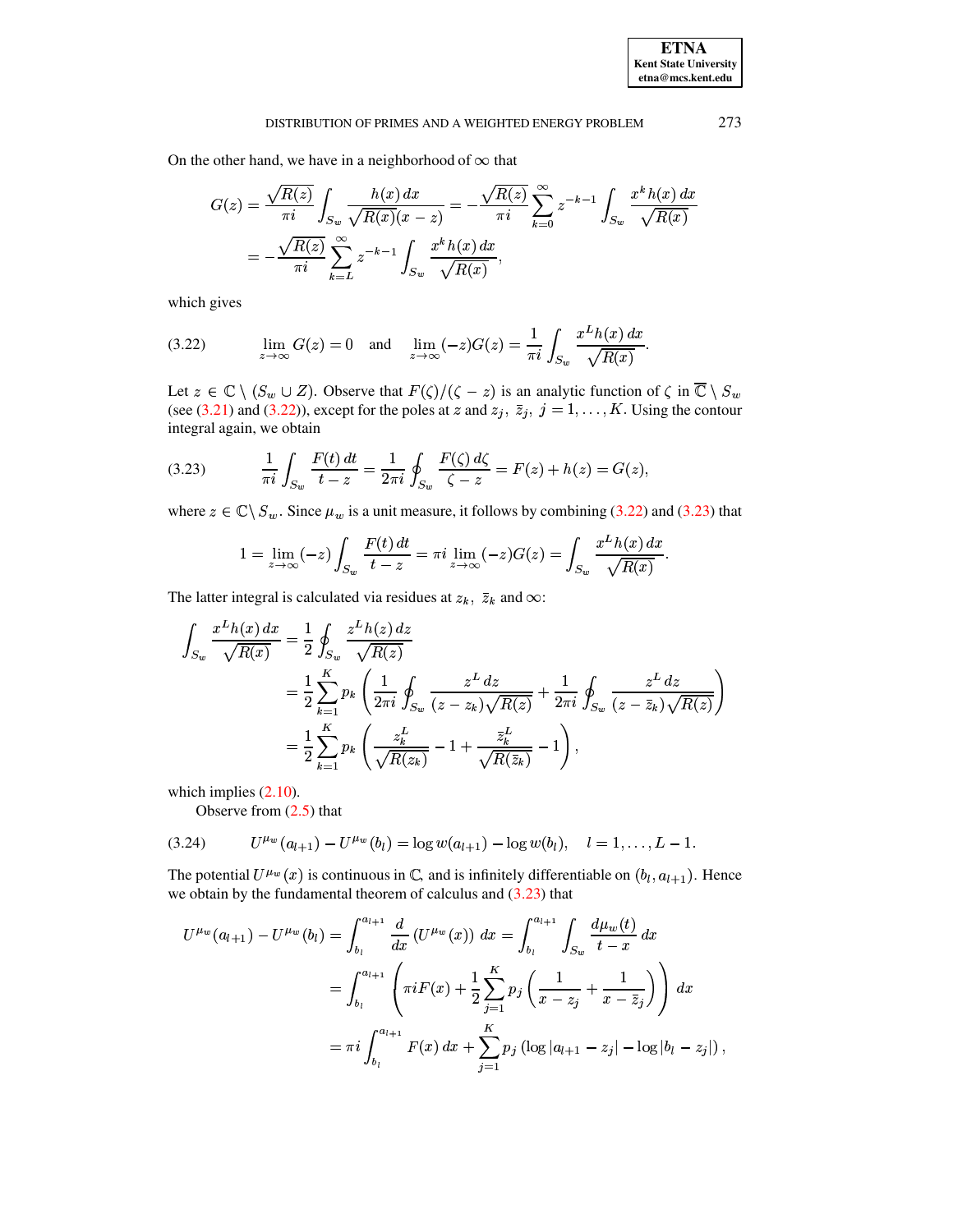On the other hand, we have in a neighborhood of  $\infty$  that

$$
G(z) = \frac{\sqrt{R(z)}}{\pi i} \int_{S_w} \frac{h(x) dx}{\sqrt{R(x)} (x - z)} = -\frac{\sqrt{R(z)}}{\pi i} \sum_{k=0}^{\infty} z^{-k-1} \int_{S_w} \frac{x^k h(x) dx}{\sqrt{R(x)}} = -\frac{\sqrt{R(z)}}{\pi i} \sum_{k=L}^{\infty} z^{-k-1} \int_{S_w} \frac{x^k h(x) dx}{\sqrt{R(x)}},
$$

which gives

<span id="page-14-0"></span>
$$
\text{(3.22)} \qquad \lim_{z \to \infty} G(z) = 0 \quad \text{and} \quad \lim_{z \to \infty} (-z)G(z) = \frac{1}{\pi i} \int_{S_w} \frac{x^L h(x) \, dx}{\sqrt{R(x)}}.
$$

Let  $z \in \mathbb{C} \setminus (S_w \cup Z)$ . Observe that  $F(\zeta)/(\zeta - z)$  is an analytic function of  $\zeta$  in  $\overline{\mathbb{C}} \setminus S_w$ (see (3.21) and (3.22)), except for the poles at z and  $z_j$ ,  $\overline{z}_j$ ,  $j = 1, ..., K$ . Using the contour integral again, we obtain

<span id="page-14-1"></span>(3.23) 
$$
\frac{1}{\pi i} \int_{S_w} \frac{F(t) dt}{t - z} = \frac{1}{2\pi i} \oint_{S_w} \frac{F(\zeta) d\zeta}{\zeta - z} = F(z) + h(z) = G(z),
$$

where  $z \in \mathbb{C} \setminus S_w$ . Since  $\mu_w$  is a unit measure, it follows by combining (3.22) and (3.23) that

$$
1 = \lim_{z \to \infty} (-z) \int_{S_w} \frac{F(t) dt}{t - z} = \pi i \lim_{z \to \infty} (-z) G(z) = \int_{S_w} \frac{x^L h(x) dx}{\sqrt{R(x)}}
$$

The latter integral is calculated via residues at  $z_k$ ,  $\bar{z}_k$  and  $\infty$ :

$$
\int_{S_w} \frac{x^L h(x) dx}{\sqrt{R(x)}} = \frac{1}{2} \oint_{S_w} \frac{z^L h(z) dz}{\sqrt{R(z)}}
$$
\n
$$
= \frac{1}{2} \sum_{k=1}^K p_k \left( \frac{1}{2\pi i} \oint_{S_w} \frac{z^L dz}{(z - z_k) \sqrt{R(z)}} + \frac{1}{2\pi i} \oint_{S_w} \frac{z^L dz}{(z - \bar{z}_k) \sqrt{R(z)}} \right)
$$
\n
$$
= \frac{1}{2} \sum_{k=1}^K p_k \left( \frac{z_k^L}{\sqrt{R(z_k)}} - 1 + \frac{\bar{z}_k^L}{\sqrt{R(\bar{z}_k)}} - 1 \right),
$$

which implies  $(2.10)$ .

Observe from  $(2.5)$  that

<span id="page-14-2"></span>
$$
(3.24) \tU^{\mu_w}(a_{l+1})-U^{\mu_w}(b_l)=\log w(a_{l+1})-\log w(b_l), \quad l=1,\ldots,L-1
$$

The potential  $U^{\mu_w}(x)$  is continuous in C, and is infinitely differentiable on  $(b_l, a_{l+1})$ . Hence we obtain by the fundamental theorem of calculus and  $(3.23)$  that

$$
U^{\mu_w}(a_{l+1}) - U^{\mu_w}(b_l) = \int_{b_l}^{a_{l+1}} \frac{d}{dx} (U^{\mu_w}(x)) dx = \int_{b_l}^{a_{l+1}} \int_{S_w} \frac{d\mu_w(t)}{t - x} dx
$$
  
= 
$$
\int_{b_l}^{a_{l+1}} \left( \pi i F(x) + \frac{1}{2} \sum_{j=1}^K p_j \left( \frac{1}{x - z_j} + \frac{1}{x - \bar{z}_j} \right) \right) dx
$$
  
= 
$$
\pi i \int_{b_l}^{a_{l+1}} F(x) dx + \sum_{j=1}^K p_j \left( \log |a_{l+1} - z_j| - \log |b_l - z_j| \right),
$$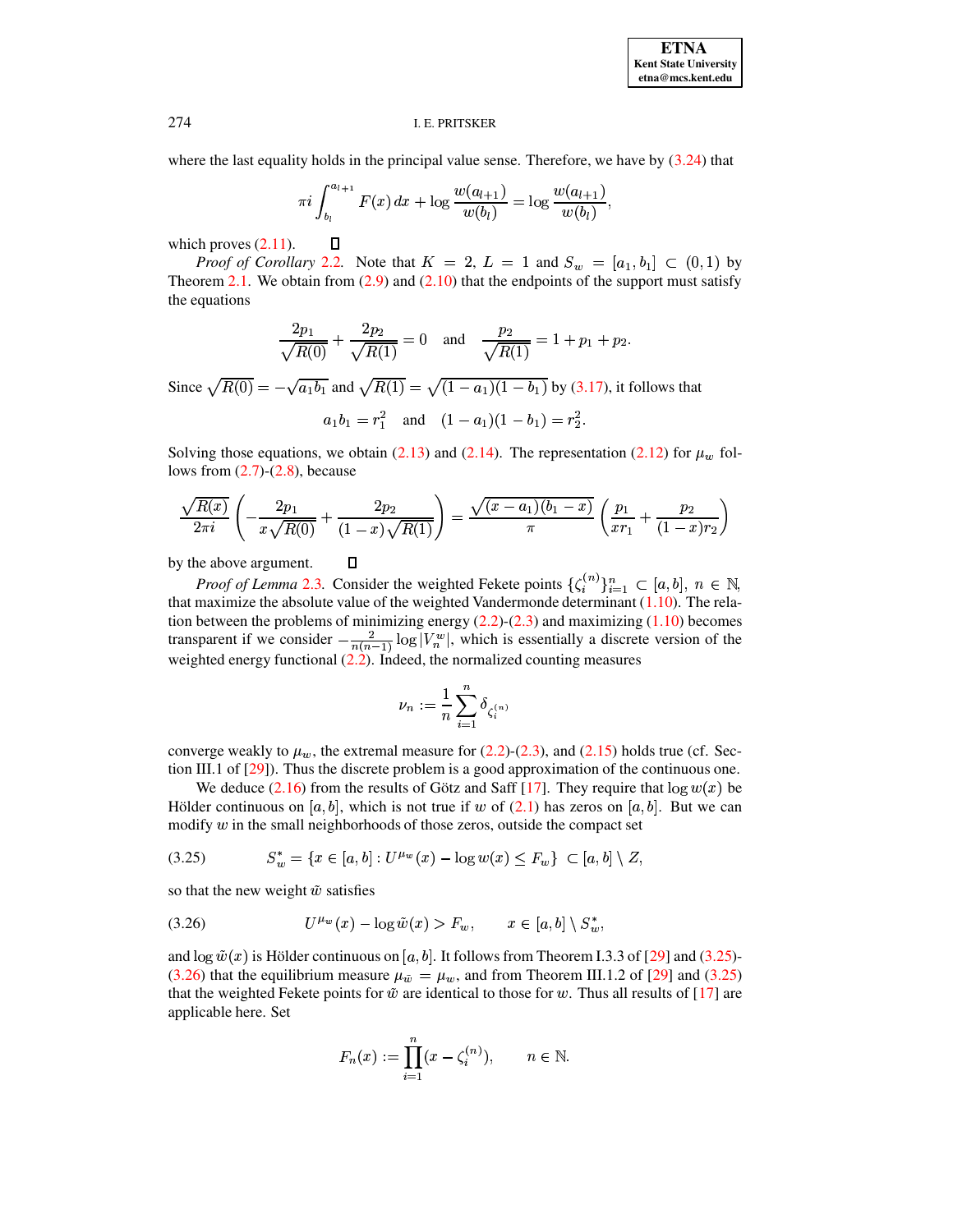where the last equality holds in the principal value sense. Therefore, we have by  $(3.24)$  that

$$
\pi i \int_{b_l}^{a_{l+1}} F(x) dx + \log \frac{w(a_{l+1})}{w(b_l)} = \log \frac{w(a_{l+1})}{w(b_l)},
$$

which proves  $(2.11)$ .

 $\Box$ 

 $\Box$ 

*Proof of Corollary* 2.2. Note that  $K = 2$ ,  $L = 1$  and  $S_w = [a_1, b_1] \subset (0,1)$  by Theorem 2.1. We obtain from  $(2.9)$  and  $(2.10)$  that the endpoints of the support must satisfy the equations

$$
\frac{2p_1}{\sqrt{R(0)}} + \frac{2p_2}{\sqrt{R(1)}} = 0 \quad \text{and} \quad \frac{p_2}{\sqrt{R(1)}} = 1 + p_1 + p_2
$$

Since  $\sqrt{R(0)} = -\sqrt{a_1b_1}$  and  $\sqrt{R(1)} = \sqrt{(1-a_1)(1-b_1)}$  by (3.17), it follows that

$$
a_1b_1 = r_1^2
$$
 and  $(1 - a_1)(1 - b_1) = r_2^2$ 

Solving those equations, we obtain (2.13) and (2.14). The representation (2.12) for  $\mu_w$  follows from  $(2.7)-(2.8)$ , because

$$
\frac{\sqrt{R(x)}}{2\pi i} \left( -\frac{2p_1}{x\sqrt{R(0)}} + \frac{2p_2}{(1-x)\sqrt{R(1)}} \right) = \frac{\sqrt{(x-a_1)(b_1-x)}}{\pi} \left( \frac{p_1}{x r_1} + \frac{p_2}{(1-x)r_2} \right)
$$

by the above argument.

*Proof of Lemma 2.3.* Consider the weighted Fekete points  $\{\zeta_i^{(n)}\}_{i=1}^n \subset [a, b], n \in \mathbb{N},$ that maximize the absolute value of the weighted Vandermonde determinant  $(1.10)$ . The relation between the problems of minimizing energy  $(2.2)-(2.3)$  and maximizing  $(1.10)$  becomes transparent if we consider  $-\frac{2}{n(n-1)}\log|V_n^w|$ , which is essentially a discrete version of the weighted energy functional  $(2.2)$ . Indeed, the normalized counting measures

$$
\nu_n:=\frac{1}{n}\sum_{i=1}^n\delta_{\zeta_i^{(n)}}
$$

converge weakly to  $\mu_w$ , the extremal measure for (2.2)-(2.3), and (2.15) holds true (cf. Section III.1 of [29]). Thus the discrete problem is a good approximation of the continuous one.

We deduce (2.16) from the results of Götz and Saff [17]. They require that  $\log w(x)$  be Hölder continuous on [a, b], which is not true if w of (2.1) has zeros on [a, b]. But we can modify  $w$  in the small neighborhoods of those zeros, outside the compact set

<span id="page-15-0"></span>
$$
(3.25) \tS_w^* = \{x \in [a, b] : U^{\mu_w}(x) - \log w(x) \le F_w\} \subset [a, b] \setminus Z,
$$

so that the new weight  $\tilde{w}$  satisfies

<span id="page-15-1"></span>(3.26) 
$$
U^{\mu_w}(x) - \log \tilde{w}(x) > F_w, \qquad x \in [a, b] \setminus S_w^*,
$$

and  $\log \tilde{w}(x)$  is Hölder continuous on [a, b]. It follows from Theorem I.3.3 of [29] and (3.25)-(3.26) that the equilibrium measure  $\mu_{\tilde{w}} = \mu_w$ , and from Theorem III.1.2 of [29] and (3.25) that the weighted Fekete points for  $\tilde{w}$  are identical to those for w. Thus all results of [17] are applicable here. Set

$$
F_n(x) := \prod_{i=1}^n (x - \zeta_i^{(n)}), \quad n \in \mathbb{N}.
$$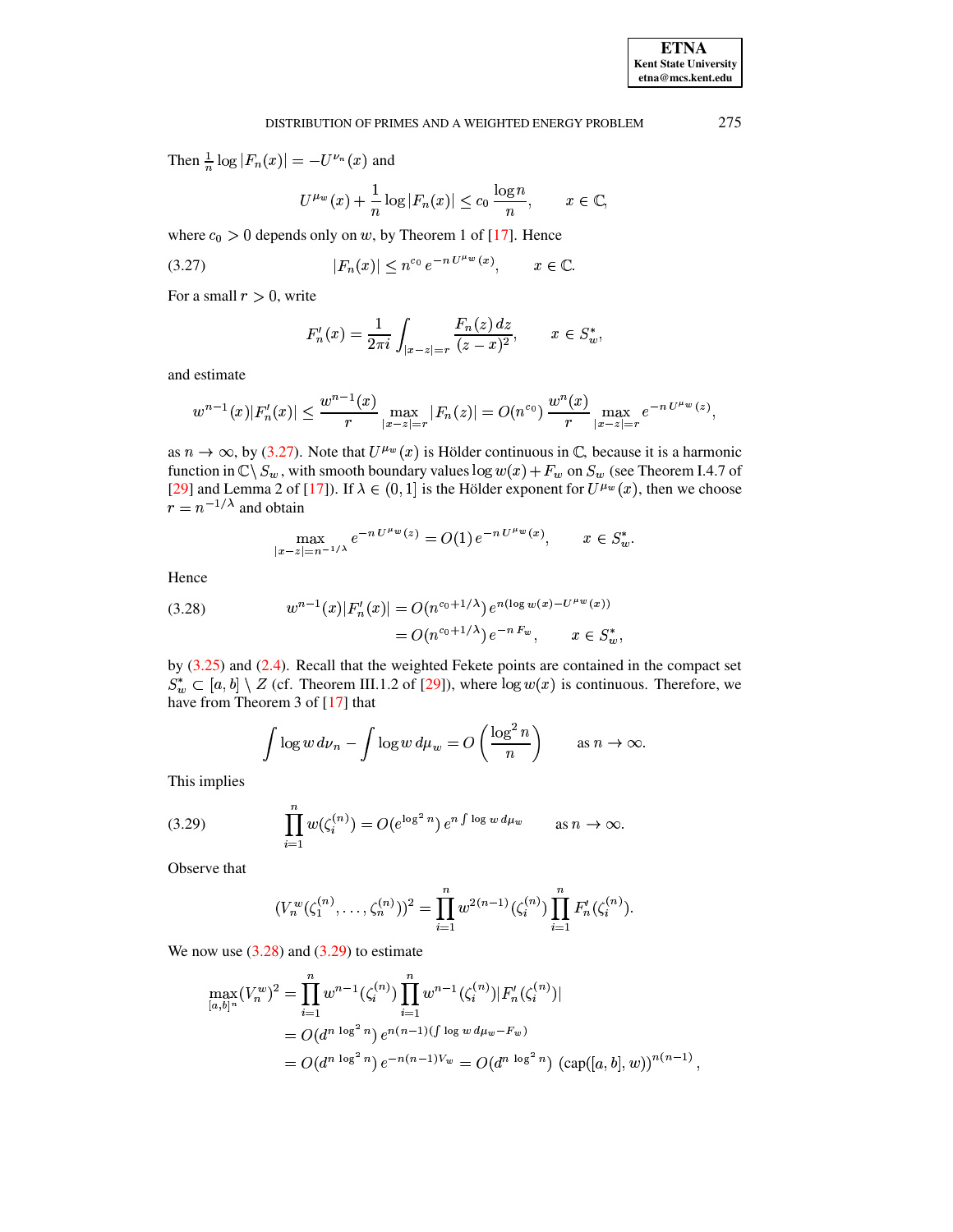Then  $\frac{1}{n} \log |F_n(x)| = -U^{\nu_n}(x)$  and

$$
U^{\mu_w}(x) + \frac{1}{n} \log |F_n(x)| \le c_0 \frac{\log n}{n}, \qquad x \in \mathbb{C},
$$

where  $c_0 > 0$  depends only on w, by Theorem 1 of [17]. Hence

<span id="page-16-0"></span>(3.27) 
$$
|F_n(x)| \le n^{c_0} e^{-n U^{\mu w}(x)}, \qquad x \in \mathbb{C}.
$$

For a small  $r > 0$ , write

$$
F'_n(x) = \frac{1}{2\pi i} \int_{|x-z|=r} \frac{F_n(z) \, dz}{(z-x)^2}, \qquad x \in S_w^*,
$$

and estimate

$$
w^{n-1}(x)|F'_n(x)| \leq \frac{w^{n-1}(x)}{r} \max_{|x-z|=r} |F_n(z)| = O(n^{c_0}) \frac{w^n(x)}{r} \max_{|x-z|=r} e^{-n U^{\mu_w}(z)},
$$

as  $n \to \infty$ , by (3.27). Note that  $U^{\mu_w}(x)$  is Hölder continuous in  $\mathbb{C}$ , because it is a harmonic function in  $\mathbb{C}\setminus S_w$ , with smooth boundary values  $\log w(x) + F_w$  on  $S_w$  (see Theorem I.4.7 of [29] and Lemma 2 of [17]). If  $\lambda \in (0,1]$  is the Hölder exponent for  $U^{\mu_w}(x)$ , then we choose  $r = n^{-1/\lambda}$  and obtain

$$
\max_{|x-z|=n^{-1/\lambda}} e^{-n U^{\mu_w}(z)} = O(1) e^{-n U^{\mu_w}(x)}, \qquad x \in S_w^*.
$$

Hence

<span id="page-16-1"></span>(3.28) 
$$
w^{n-1}(x)|F'_n(x)| = O(n^{c_0+1/\lambda}) e^{n(\log w(x) - U^{\mu w}(x))}
$$

$$
= O(n^{c_0+1/\lambda}) e^{-n F_w}, \qquad x \in S_w^*
$$

by  $(3.25)$  and  $(2.4)$ . Recall that the weighted Fekete points are contained in the compact set  $S_w^* \subset [a, b] \setminus Z$  (cf. Theorem III.1.2 of [29]), where  $\log w(x)$  is continuous. Therefore, we have from Theorem 3 of [17] that

$$
\int \log w \, d\nu_n - \int \log w \, d\mu_w = O\left(\frac{\log^2 n}{n}\right) \qquad \text{as } n \to \infty.
$$

This implies

<span id="page-16-2"></span>(3.29) 
$$
\prod_{i=1}^{n} w(\zeta_i^{(n)}) = O(e^{\log^2 n}) e^{n \int \log w \, d\mu_w} \quad \text{as } n \to \infty.
$$

Observe that

$$
(V_n^w(\zeta_1^{(n)},\ldots,\zeta_n^{(n)}))^2 = \prod_{i=1}^n w^{2(n-1)}(\zeta_i^{(n)}) \prod_{i=1}^n F'_n(\zeta_i^{(n)})
$$

We now use  $(3.28)$  and  $(3.29)$  to estimate

$$
\max_{[a,b]^n} (V_n^w)^2 = \prod_{i=1}^n w^{n-1} (\zeta_i^{(n)}) \prod_{i=1}^n w^{n-1} (\zeta_i^{(n)}) |F_n'(\zeta_i^{(n)})|
$$
  
=  $O(d^{n \log^2 n}) e^{n(n-1)(\int \log w d\mu_w - F_w)}$   
=  $O(d^{n \log^2 n}) e^{-n(n-1)V_w} = O(d^{n \log^2 n}) (\text{cap}([a,b],w))^{n(n-1)},$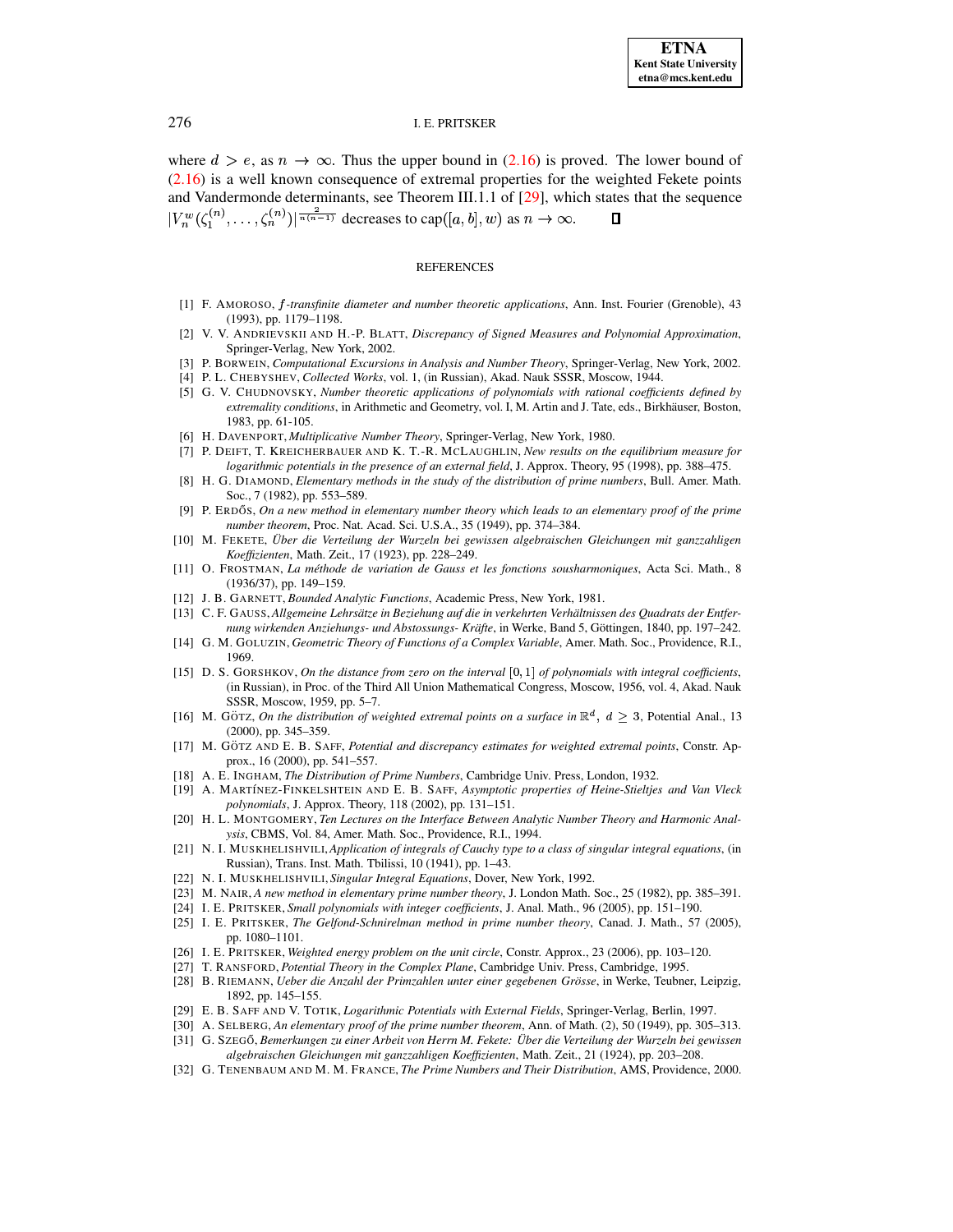where  $d > e$ , as  $n \to \infty$ . Thus the upper bound in (2.16) is proved. The lower bound of  $(2.16)$  is a well known consequence of extremal properties for the weighted Fekete points and Vandermonde determinants, see Theorem III.1.1 of [29], which states that the sequence  $|V_n^w(\zeta_1^{(n)},\ldots,\zeta_n^{(n)})|^{\frac{2}{n(n-1)}}$  decreases to cap([a, b], w) as  $n \to \infty$ .  $\Box$ 

# **REFERENCES**

- <span id="page-17-25"></span><span id="page-17-19"></span>[1] F. AMOROSO, *f-transfinite diameter and number theoretic applications*, Ann. Inst. Fourier (Grenoble), 43 (1993), pp. 1179-1198.
- [2] V. V. ANDRIEVSKII AND H.-P. BLATT, Discrepancy of Signed Measures and Polynomial Approximation, Springer-Verlag, New York, 2002.
- <span id="page-17-10"></span><span id="page-17-4"></span>[3] P. BORWEIN, Computational Excursions in Analysis and Number Theory, Springer-Verlag, New York, 2002.
- <span id="page-17-9"></span>[4] P. L. CHEBYSHEV, Collected Works, vol. 1, (in Russian), Akad. Nauk SSSR, Moscow, 1944.
- [5] G. V. CHUDNOVSKY, Number theoretic applications of polynomials with rational coefficients defined by extremality conditions, in Arithmetic and Geometry, vol. I, M. Artin and J. Tate, eds., Birkhäuser, Boston, 1983, pp. 61-105.
- <span id="page-17-20"></span><span id="page-17-1"></span>[6] H. DAVENPORT, Multiplicative Number Theory, Springer-Verlag, New York, 1980.
- [7] P. DEIFT, T. KREICHERBAUER AND K. T.-R. MCLAUGHLIN, New results on the equilibrium measure for logarithmic potentials in the presence of an external field, J. Approx. Theory, 95 (1998), pp. 388–475.
- <span id="page-17-3"></span>[8] H. G. DIAMOND, Elementary methods in the study of the distribution of prime numbers, Bull. Amer. Math. Soc., 7 (1982), pp. 553-589.
- <span id="page-17-7"></span>[9] P. ERDŐS, On a new method in elementary number theory which leads to an elementary proof of the prime number theorem, Proc. Nat. Acad. Sci. U.S.A., 35 (1949), pp. 374-384.
- <span id="page-17-23"></span>[10] M. FEKETE, Über die Verteilung der Wurzeln bei gewissen algebraischen Gleichungen mit ganzzahligen Koeffizienten, Math. Zeit., 17 (1923), pp. 228-249.
- <span id="page-17-15"></span>[11] O. FROSTMAN, La méthode de variation de Gauss et les fonctions sousharmoniques, Acta Sci. Math., 8  $(1936/37)$ , pp. 149-159.
- <span id="page-17-28"></span><span id="page-17-14"></span>[12] J. B. GARNETT, Bounded Analytic Functions, Academic Press, New York, 1981.
- [13] C. F. GAUSS, Allgemeine Lehrsätze in Beziehung auf die in verkehrten Verhältnissen des Quadrats der Entfernung wirkenden Anziehungs- und Abstossungs- Kräfte, in Werke, Band 5, Göttingen, 1840, pp. 197-242.
- <span id="page-17-26"></span><span id="page-17-11"></span>[14] G. M. GOLUZIN, Geometric Theory of Functions of a Complex Variable, Amer. Math. Soc., Providence, R.I., 1969.
- [15] D. S. GORSHKOV, On the distance from zero on the interval  $[0,1]$  of polynomials with integral coefficients, (in Russian), in Proc. of the Third All Union Mathematical Congress, Moscow, 1956, vol. 4, Akad. Nauk SSSR, Moscow, 1959, pp. 5-7.
- <span id="page-17-27"></span>[16] M. GÖTZ, On the distribution of weighted extremal points on a surface in  $\mathbb{R}^d$ ,  $d \geq 3$ , Potential Anal., 13  $(2000)$ , pp. 345–359.
- <span id="page-17-31"></span>[17] M. GÖTZ AND E. B. SAFF, Potential and discrepancy estimates for weighted extremal points, Constr. Approx., 16 (2000), pp. 541-557.
- <span id="page-17-21"></span><span id="page-17-0"></span>[18] A. E. INGHAM, The Distribution of Prime Numbers, Cambridge Univ. Press, London, 1932.
- [19] A. MARTÍNEZ-FINKELSHTEIN AND E. B. SAFF, Asymptotic properties of Heine-Stieltjes and Van Vleck polynomials, J. Approx. Theory, 118 (2002), pp. 131-151.
- <span id="page-17-8"></span>[20] H. L. MONTGOMERY, Ten Lectures on the Interface Between Analytic Number Theory and Harmonic Analysis, CBMS, Vol. 84, Amer. Math. Soc., Providence, R.I., 1994.
- <span id="page-17-30"></span>[21] N. I. MUSKHELISHVILI, Application of integrals of Cauchy type to a class of singular integral equations, (in Russian), Trans. Inst. Math. Tbilissi, 10 (1941), pp. 1-43.
- <span id="page-17-29"></span><span id="page-17-13"></span>[22] N. I. MUSKHELISHVILI, Singular Integral Equations, Dover, New York, 1992.
- <span id="page-17-12"></span>[23] M. NAIR, A new method in elementary prime number theory, J. London Math. Soc., 25 (1982), pp. 385–391.
- <span id="page-17-17"></span>[24] I. E. PRITSKER, Small polynomials with integer coefficients, J. Anal. Math., 96 (2005), pp. 151-190.
- [25] I. E. PRITSKER, The Gelfond-Schnirelman method in prime number theory, Canad. J. Math., 57 (2005), pp. 1080-1101.
- <span id="page-17-22"></span><span id="page-17-18"></span>[26] I. E. PRITSKER, Weighted energy problem on the unit circle, Constr. Approx., 23 (2006), pp. 103–120.
- <span id="page-17-5"></span>[27] T. RANSFORD, Potential Theory in the Complex Plane, Cambridge Univ. Press, Cambridge, 1995.
- [28] B. RIEMANN, Ueber die Anzahl der Primzahlen unter einer gegebenen Grösse, in Werke, Teubner, Leipzig, 1892, pp. 145-155.
- <span id="page-17-16"></span><span id="page-17-6"></span>[29] E. B. SAFF AND V. TOTIK, Logarithmic Potentials with External Fields, Springer-Verlag, Berlin, 1997.
- <span id="page-17-24"></span>[30] A. SELBERG, An elementary proof of the prime number theorem, Ann. of Math. (2), 50 (1949), pp. 305-313.
- [31] G. SZEGŐ, Bemerkungen zu einer Arbeit von Herrn M. Fekete: Über die Verteilung der Wurzeln bei gewissen
	- algebraischen Gleichungen mit ganzzahligen Koeffizienten, Math. Zeit., 21 (1924), pp. 203-208.
- <span id="page-17-2"></span>[32] G. TENENBAUM AND M. M. FRANCE, The Prime Numbers and Their Distribution, AMS, Providence, 2000.